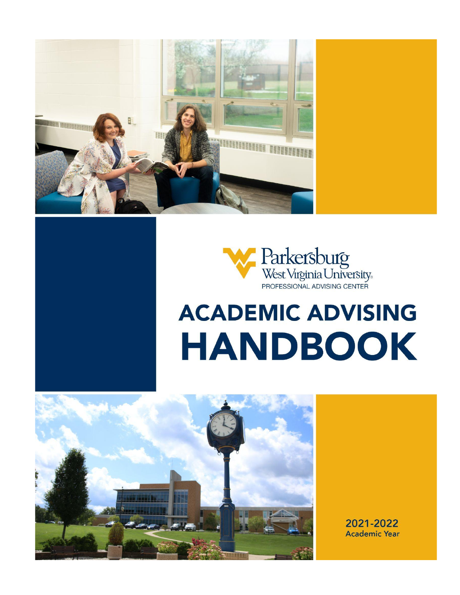



# **ACADEMIC ADVISING HANDBOOK**



2021-2022 **Academic Year**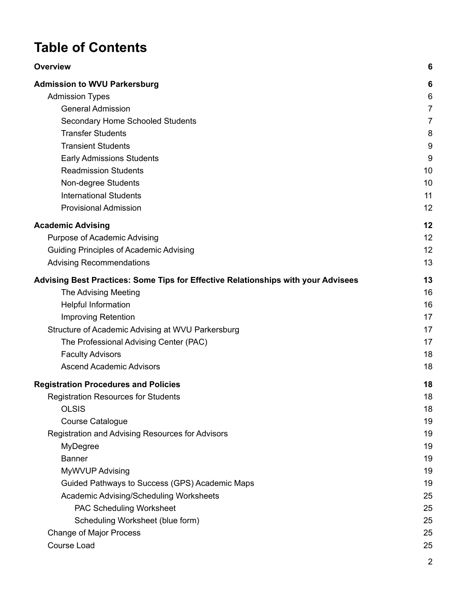# **Table of Contents**

| <b>Overview</b>                                                                   | 6  |
|-----------------------------------------------------------------------------------|----|
| <b>Admission to WVU Parkersburg</b>                                               | 6  |
| <b>Admission Types</b>                                                            | 6  |
| <b>General Admission</b>                                                          | 7  |
| <b>Secondary Home Schooled Students</b>                                           | 7  |
| <b>Transfer Students</b>                                                          | 8  |
| <b>Transient Students</b>                                                         | 9  |
| <b>Early Admissions Students</b>                                                  | 9  |
| <b>Readmission Students</b>                                                       | 10 |
| Non-degree Students                                                               | 10 |
| <b>International Students</b>                                                     | 11 |
| <b>Provisional Admission</b>                                                      | 12 |
| <b>Academic Advising</b>                                                          | 12 |
| Purpose of Academic Advising                                                      | 12 |
| Guiding Principles of Academic Advising                                           | 12 |
| <b>Advising Recommendations</b>                                                   | 13 |
| Advising Best Practices: Some Tips for Effective Relationships with your Advisees | 13 |
| <b>The Advising Meeting</b>                                                       | 16 |
| <b>Helpful Information</b>                                                        | 16 |
| <b>Improving Retention</b>                                                        | 17 |
| Structure of Academic Advising at WVU Parkersburg                                 | 17 |
| The Professional Advising Center (PAC)                                            | 17 |
| <b>Faculty Advisors</b>                                                           | 18 |
| <b>Ascend Academic Advisors</b>                                                   | 18 |
| <b>Registration Procedures and Policies</b>                                       | 18 |
| <b>Registration Resources for Students</b>                                        | 18 |
| <b>OLSIS</b>                                                                      | 18 |
| <b>Course Catalogue</b>                                                           | 19 |
| Registration and Advising Resources for Advisors                                  | 19 |
| MyDegree                                                                          | 19 |
| <b>Banner</b>                                                                     | 19 |
| MyWVUP Advising                                                                   | 19 |
| Guided Pathways to Success (GPS) Academic Maps                                    | 19 |
| <b>Academic Advising/Scheduling Worksheets</b>                                    | 25 |
| <b>PAC Scheduling Worksheet</b>                                                   | 25 |
| Scheduling Worksheet (blue form)                                                  | 25 |
| <b>Change of Major Process</b>                                                    | 25 |
| Course Load                                                                       | 25 |
|                                                                                   |    |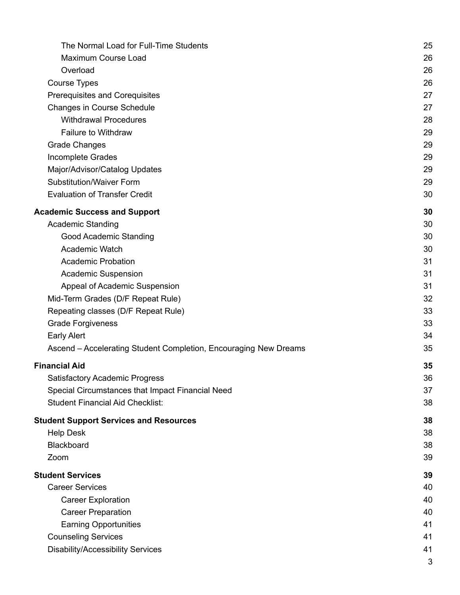| The Normal Load for Full-Time Students                           | 25 |
|------------------------------------------------------------------|----|
| Maximum Course Load                                              | 26 |
| Overload                                                         | 26 |
| <b>Course Types</b>                                              | 26 |
| <b>Prerequisites and Corequisites</b>                            | 27 |
| <b>Changes in Course Schedule</b>                                | 27 |
| <b>Withdrawal Procedures</b>                                     | 28 |
| <b>Failure to Withdraw</b>                                       | 29 |
| <b>Grade Changes</b>                                             | 29 |
| Incomplete Grades                                                | 29 |
| Major/Advisor/Catalog Updates                                    | 29 |
| <b>Substitution/Waiver Form</b>                                  | 29 |
| <b>Evaluation of Transfer Credit</b>                             | 30 |
| <b>Academic Success and Support</b>                              | 30 |
| <b>Academic Standing</b>                                         | 30 |
| <b>Good Academic Standing</b>                                    | 30 |
| Academic Watch                                                   | 30 |
| <b>Academic Probation</b>                                        | 31 |
| <b>Academic Suspension</b>                                       | 31 |
| Appeal of Academic Suspension                                    | 31 |
| Mid-Term Grades (D/F Repeat Rule)                                | 32 |
| Repeating classes (D/F Repeat Rule)                              | 33 |
| <b>Grade Forgiveness</b>                                         | 33 |
| <b>Early Alert</b>                                               | 34 |
| Ascend - Accelerating Student Completion, Encouraging New Dreams | 35 |
| <b>Financial Aid</b>                                             | 35 |
| <b>Satisfactory Academic Progress</b>                            | 36 |
| Special Circumstances that Impact Financial Need                 | 37 |
| <b>Student Financial Aid Checklist:</b>                          | 38 |
| <b>Student Support Services and Resources</b>                    | 38 |
| <b>Help Desk</b>                                                 | 38 |
| Blackboard                                                       | 38 |
| Zoom                                                             | 39 |
| <b>Student Services</b>                                          | 39 |
| <b>Career Services</b>                                           | 40 |
| <b>Career Exploration</b>                                        | 40 |
| <b>Career Preparation</b>                                        | 40 |
| <b>Earning Opportunities</b>                                     | 41 |
| <b>Counseling Services</b>                                       | 41 |
| <b>Disability/Accessibility Services</b>                         | 41 |
|                                                                  | 3  |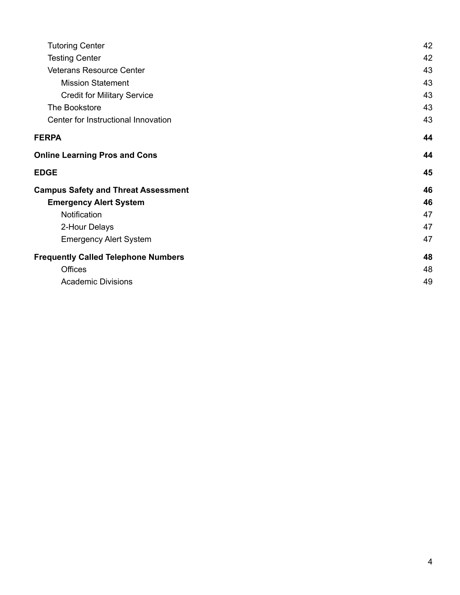| <b>Tutoring Center</b>                     | 42 |
|--------------------------------------------|----|
| <b>Testing Center</b>                      | 42 |
| <b>Veterans Resource Center</b>            | 43 |
| <b>Mission Statement</b>                   | 43 |
| <b>Credit for Military Service</b>         | 43 |
| The Bookstore                              | 43 |
| Center for Instructional Innovation        | 43 |
| FERPA                                      | 44 |
| <b>Online Learning Pros and Cons</b>       | 44 |
| <b>EDGE</b>                                | 45 |
| <b>Campus Safety and Threat Assessment</b> | 46 |
| <b>Emergency Alert System</b>              | 46 |
| Notification                               | 47 |
| 2-Hour Delays                              | 47 |
| <b>Emergency Alert System</b>              | 47 |
| <b>Frequently Called Telephone Numbers</b> | 48 |
| <b>Offices</b>                             | 48 |
| <b>Academic Divisions</b>                  |    |
|                                            | 49 |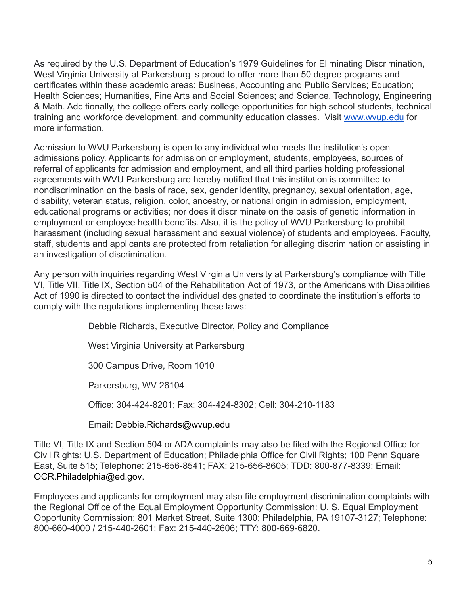As required by the U.S. Department of Education's 1979 Guidelines for Eliminating Discrimination, West Virginia University at Parkersburg is proud to offer more than 50 degree programs and certificates within these academic areas: Business, Accounting and Public Services; Education; Health Sciences; Humanities, Fine Arts and Social Sciences; and Science, Technology, Engineering & Math. Additionally, the college offers early college opportunities for high school students, technical training and workforce development, and community education classes. Visit [www.wvup.edu](http://www.wvup.edu) for more information.

Admission to WVU Parkersburg is open to any individual who meets the institution's open admissions policy. Applicants for admission or employment, students, employees, sources of referral of applicants for admission and employment, and all third parties holding professional agreements with WVU Parkersburg are hereby notified that this institution is committed to nondiscrimination on the basis of race, sex, gender identity, pregnancy, sexual orientation, age, disability, veteran status, religion, color, ancestry, or national origin in admission, employment, educational programs or activities; nor does it discriminate on the basis of genetic information in employment or employee health benefits. Also, it is the policy of WVU Parkersburg to prohibit harassment (including sexual harassment and sexual violence) of students and employees. Faculty, staff, students and applicants are protected from retaliation for alleging discrimination or assisting in an investigation of discrimination.

Any person with inquiries regarding West Virginia University at Parkersburg's compliance with Title VI, Title VII, Title IX, Section 504 of the Rehabilitation Act of 1973, or the Americans with Disabilities Act of 1990 is directed to contact the individual designated to coordinate the institution's efforts to comply with the regulations implementing these laws:

Debbie Richards, Executive Director, Policy and Compliance

West Virginia University at Parkersburg

300 Campus Drive, Room 1010

Parkersburg, WV 26104

Office: 304-424-8201; Fax: 304-424-8302; Cell: 304-210-1183

Email: Debbie.Richards@wvup.edu

Title VI, Title IX and Section 504 or ADA complaints may also be filed with the Regional Office for Civil Rights: U.S. Department of Education; Philadelphia Office for Civil Rights; 100 Penn Square East, Suite 515; Telephone: 215-656-8541; FAX: 215-656-8605; TDD: 800-877-8339; Email: OCR.Philadelphia@ed.gov.

Employees and applicants for employment may also file employment discrimination complaints with the Regional Office of the Equal Employment Opportunity Commission: U. S. Equal Employment Opportunity Commission; 801 Market Street, Suite 1300; Philadelphia, PA 19107-3127; Telephone: 800-660-4000 / 215-440-2601; Fax: 215-440-2606; TTY: 800-669-6820.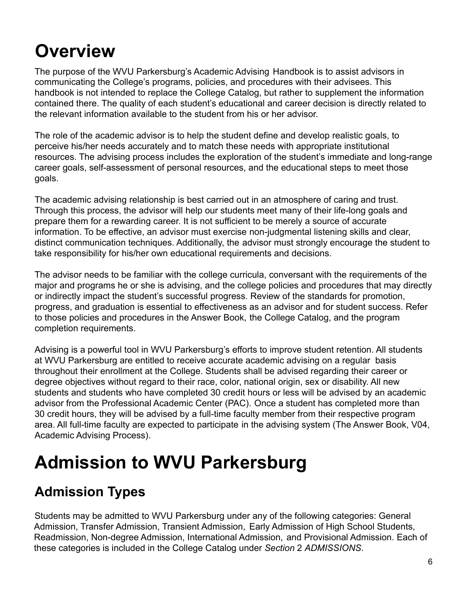# <span id="page-5-0"></span>**Overview**

The purpose of the WVU Parkersburg's Academic Advising Handbook is to assist advisors in communicating the College's programs, policies, and procedures with their advisees. This handbook is not intended to replace the College Catalog, but rather to supplement the information contained there. The quality of each student's educational and career decision is directly related to the relevant information available to the student from his or her advisor.

The role of the academic advisor is to help the student define and develop realistic goals, to perceive his/her needs accurately and to match these needs with appropriate institutional resources. The advising process includes the exploration of the student's immediate and long-range career goals, self-assessment of personal resources, and the educational steps to meet those goals.

The academic advising relationship is best carried out in an atmosphere of caring and trust. Through this process, the advisor will help our students meet many of their life-long goals and prepare them for a rewarding career. It is not sufficient to be merely a source of accurate information. To be effective, an advisor must exercise non-judgmental listening skills and clear, distinct communication techniques. Additionally, the advisor must strongly encourage the student to take responsibility for his/her own educational requirements and decisions.

The advisor needs to be familiar with the college curricula, conversant with the requirements of the major and programs he or she is advising, and the college policies and procedures that may directly or indirectly impact the student's successful progress. Review of the standards for promotion, progress, and graduation is essential to effectiveness as an advisor and for student success. Refer to those policies and procedures in the Answer Book, the College Catalog, and the program completion requirements.

Advising is a powerful tool in WVU Parkersburg's efforts to improve student retention. All students at WVU Parkersburg are entitled to receive accurate academic advising on a regular basis throughout their enrollment at the College. Students shall be advised regarding their career or degree objectives without regard to their race, color, national origin, sex or disability. All new students and students who have completed 30 credit hours or less will be advised by an academic advisor from the Professional Academic Center (PAC). Once a student has completed more than 30 credit hours, they will be advised by a full-time faculty member from their respective program area. All full-time faculty are expected to participate in the advising system (The Answer Book, V04, Academic Advising Process).

# <span id="page-5-1"></span>**Admission to WVU Parkersburg**

# <span id="page-5-2"></span>**Admission Types**

Students may be admitted to WVU Parkersburg under any of the following categories: General Admission, Transfer Admission, Transient Admission, Early Admission of High School Students, Readmission, Non-degree Admission, International Admission, and Provisional Admission. Each of these categories is included in the College Catalog under *Section* 2 *ADMISSIONS*.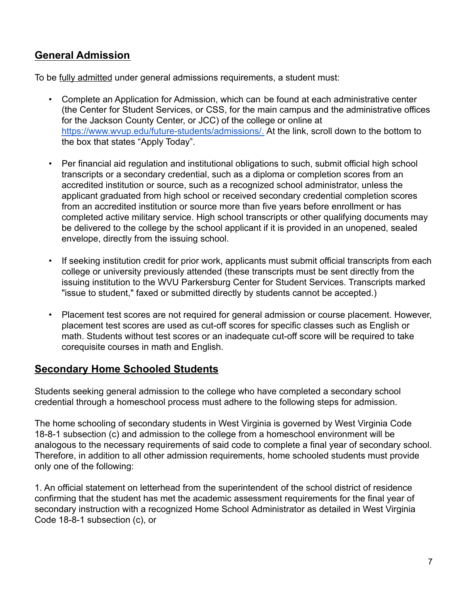## <span id="page-6-0"></span>**General Admission**

To be fully admitted under general admissions requirements, a student must:

- Complete an Application for Admission, which can be found at each administrative center (the Center for Student Services, or CSS, for the main campus and the administrative offices for the Jackson County Center, or JCC) of the college or online at <https://www.wvup.edu/future-students/admissions/>. At the link, scroll down to the bottom to the box that states "Apply Today".
- Per financial aid regulation and institutional obligations to such, submit official high school transcripts or a secondary credential, such as a diploma or completion scores from an accredited institution or source, such as a recognized school administrator, unless the applicant graduated from high school or received secondary credential completion scores from an accredited institution or source more than five years before enrollment or has completed active military service. High school transcripts or other qualifying documents may be delivered to the college by the school applicant if it is provided in an unopened, sealed envelope, directly from the issuing school.
- If seeking institution credit for prior work, applicants must submit official transcripts from each college or university previously attended (these transcripts must be sent directly from the issuing institution to the WVU Parkersburg Center for Student Services. Transcripts marked "issue to student," faxed or submitted directly by students cannot be accepted.)
- Placement test scores are not required for general admission or course placement. However, placement test scores are used as cut-off scores for specific classes such as English or math. Students without test scores or an inadequate cut-off score will be required to take corequisite courses in math and English.

#### <span id="page-6-1"></span>**Secondary Home Schooled Students**

Students seeking general admission to the college who have completed a secondary school credential through a homeschool process must adhere to the following steps for admission.

The home schooling of secondary students in West Virginia is governed by West Virginia Code 18-8-1 subsection (c) and admission to the college from a homeschool environment will be analogous to the necessary requirements of said code to complete a final year of secondary school. Therefore, in addition to all other admission requirements, home schooled students must provide only one of the following:

1. An official statement on letterhead from the superintendent of the school district of residence confirming that the student has met the academic assessment requirements for the final year of secondary instruction with a recognized Home School Administrator as detailed in West Virginia Code 18-8-1 subsection (c), or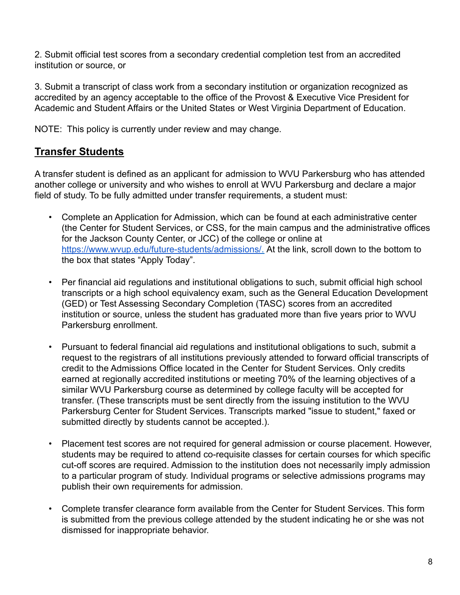2. Submit official test scores from a secondary credential completion test from an accredited institution or source, or

3. Submit a transcript of class work from a secondary institution or organization recognized as accredited by an agency acceptable to the office of the Provost & Executive Vice President for Academic and Student Affairs or the United States or West Virginia Department of Education.

NOTE: This policy is currently under review and may change.

#### <span id="page-7-0"></span>**Transfer Students**

A transfer student is defined as an applicant for admission to WVU Parkersburg who has attended another college or university and who wishes to enroll at WVU Parkersburg and declare a major field of study. To be fully admitted under transfer requirements, a student must:

- Complete an Application for Admission, which can be found at each administrative center (the Center for Student Services, or CSS, for the main campus and the administrative offices for the Jackson County Center, or JCC) of the college or online at <https://www.wvup.edu/future-students/admissions/>. At the link, scroll down to the bottom to the box that states "Apply Today".
- Per financial aid regulations and institutional obligations to such, submit official high school transcripts or a high school equivalency exam, such as the General Education Development (GED) or Test Assessing Secondary Completion (TASC) scores from an accredited institution or source, unless the student has graduated more than five years prior to WVU Parkersburg enrollment.
- Pursuant to federal financial aid regulations and institutional obligations to such, submit a request to the registrars of all institutions previously attended to forward official transcripts of credit to the Admissions Office located in the Center for Student Services. Only credits earned at regionally accredited institutions or meeting 70% of the learning objectives of a similar WVU Parkersburg course as determined by college faculty will be accepted for transfer. (These transcripts must be sent directly from the issuing institution to the WVU Parkersburg Center for Student Services. Transcripts marked "issue to student," faxed or submitted directly by students cannot be accepted.).
- Placement test scores are not required for general admission or course placement. However, students may be required to attend co-requisite classes for certain courses for which specific cut-off scores are required. Admission to the institution does not necessarily imply admission to a particular program of study. Individual programs or selective admissions programs may publish their own requirements for admission.
- Complete transfer clearance form available from the Center for Student Services. This form is submitted from the previous college attended by the student indicating he or she was not dismissed for inappropriate behavior.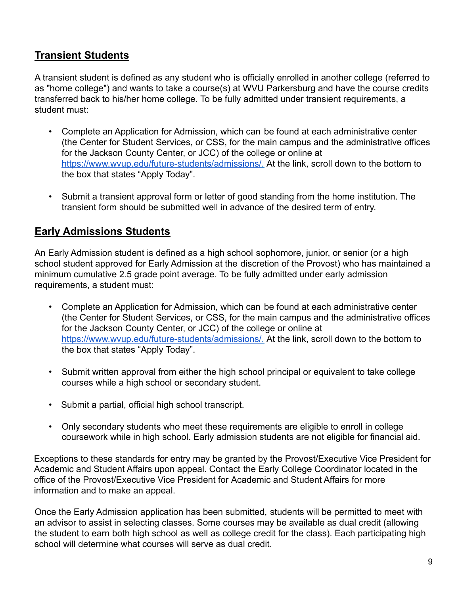#### <span id="page-8-0"></span>**Transient Students**

A transient student is defined as any student who is officially enrolled in another college (referred to as "home college") and wants to take a course(s) at WVU Parkersburg and have the course credits transferred back to his/her home college. To be fully admitted under transient requirements, a student must:

- Complete an Application for Admission, which can be found at each administrative center (the Center for Student Services, or CSS, for the main campus and the administrative offices for the Jackson County Center, or JCC) of the college or online at <https://www.wvup.edu/future-students/admissions/>. At the link, scroll down to the bottom to the box that states "Apply Today".
- Submit a transient approval form or letter of good standing from the home institution. The transient form should be submitted well in advance of the desired term of entry.

#### <span id="page-8-1"></span>**Early Admissions Students**

An Early Admission student is defined as a high school sophomore, junior, or senior (or a high school student approved for Early Admission at the discretion of the Provost) who has maintained a minimum cumulative 2.5 grade point average. To be fully admitted under early admission requirements, a student must:

- Complete an Application for Admission, which can be found at each administrative center (the Center for Student Services, or CSS, for the main campus and the administrative offices for the Jackson County Center, or JCC) of the college or online at <https://www.wvup.edu/future-students/admissions/>. At the link, scroll down to the bottom to the box that states "Apply Today".
- Submit written approval from either the high school principal or equivalent to take college courses while a high school or secondary student.
- Submit a partial, official high school transcript.
- Only secondary students who meet these requirements are eligible to enroll in college coursework while in high school. Early admission students are not eligible for financial aid.

Exceptions to these standards for entry may be granted by the Provost/Executive Vice President for Academic and Student Affairs upon appeal. Contact the Early College Coordinator located in the office of the Provost/Executive Vice President for Academic and Student Affairs for more information and to make an appeal.

Once the Early Admission application has been submitted, students will be permitted to meet with an advisor to assist in selecting classes. Some courses may be available as dual credit (allowing the student to earn both high school as well as college credit for the class). Each participating high school will determine what courses will serve as dual credit.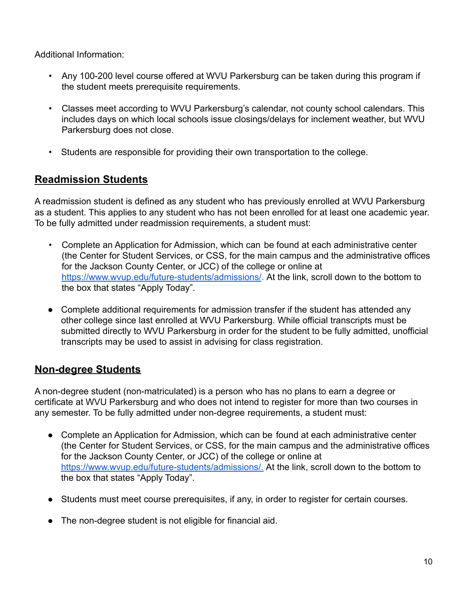Additional Information:

- Any 100-200 level course offered at WVU Parkersburg can be taken during this program if the student meets prerequisite requirements.
- Classes meet according to WVU Parkersburg's calendar, not county school calendars. This includes days on which local schools issue closings/delays for inclement weather, but WVU Parkersburg does not close.
- Students are responsible for providing their own transportation to the college.

## <span id="page-9-0"></span>**Readmission Students**

A readmission student is defined as any student who has previously enrolled at WVU Parkersburg as a student. This applies to any student who has not been enrolled for at least one academic year. To be fully admitted under readmission requirements, a student must:

- Complete an Application for Admission, which can be found at each administrative center (the Center for Student Services, or CSS, for the main campus and the administrative offices for the Jackson County Center, or JCC) of the college or online at <https://www.wvup.edu/future-students/admissions/>. At the link, scroll down to the bottom to the box that states "Apply Today".
- Complete additional requirements for admission transfer if the student has attended any other college since last enrolled at WVU Parkersburg. While official transcripts must be submitted directly to WVU Parkersburg in order for the student to be fully admitted, unofficial transcripts may be used to assist in advising for class registration.

## <span id="page-9-1"></span>**Non-degree Students**

A non-degree student (non-matriculated) is a person who has no plans to earn a degree or certificate at WVU Parkersburg and who does not intend to register for more than two courses in any semester. To be fully admitted under non-degree requirements, a student must:

- Complete an Application for Admission, which can be found at each administrative center (the Center for Student Services, or CSS, for the main campus and the administrative offices for the Jackson County Center, or JCC) of the college or online at <https://www.wvup.edu/future-students/admissions/>. At the link, scroll down to the bottom to the box that states "Apply Today".
- Students must meet course prerequisites, if any, in order to register for certain courses.
- The non-degree student is not eligible for financial aid.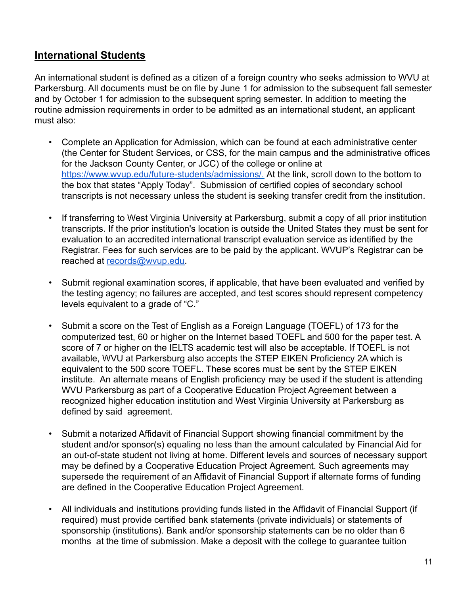#### <span id="page-10-0"></span>**International Students**

An international student is defined as a citizen of a foreign country who seeks admission to WVU at Parkersburg. All documents must be on file by June 1 for admission to the subsequent fall semester and by October 1 for admission to the subsequent spring semester. In addition to meeting the routine admission requirements in order to be admitted as an international student, an applicant must also:

- Complete an Application for Admission, which can be found at each administrative center (the Center for Student Services, or CSS, for the main campus and the administrative offices for the Jackson County Center, or JCC) of the college or online at <https://www.wvup.edu/future-students/admissions/>. At the link, scroll down to the bottom to the box that states "Apply Today". Submission of certified copies of secondary school transcripts is not necessary unless the student is seeking transfer credit from the institution.
- If transferring to West Virginia University at Parkersburg, submit a copy of all prior institution transcripts. If the prior institution's location is outside the United States they must be sent for evaluation to an accredited international transcript evaluation service as identified by the Registrar. Fees for such services are to be paid by the applicant. WVUP's Registrar can be reached at [records@wvup.edu.](mailto:records@wvup.edu)
- Submit regional examination scores, if applicable, that have been evaluated and verified by the testing agency; no failures are accepted, and test scores should represent competency levels equivalent to a grade of "C."
- Submit a score on the Test of English as a Foreign Language (TOEFL) of 173 for the computerized test, 60 or higher on the Internet based TOEFL and 500 for the paper test. A score of 7 or higher on the IELTS academic test will also be acceptable. If TOEFL is not available, WVU at Parkersburg also accepts the STEP EIKEN Proficiency 2A which is equivalent to the 500 score TOEFL. These scores must be sent by the STEP EIKEN institute. An alternate means of English proficiency may be used if the student is attending WVU Parkersburg as part of a Cooperative Education Project Agreement between a recognized higher education institution and West Virginia University at Parkersburg as defined by said agreement.
- Submit a notarized Affidavit of Financial Support showing financial commitment by the student and/or sponsor(s) equaling no less than the amount calculated by Financial Aid for an out-of-state student not living at home. Different levels and sources of necessary support may be defined by a Cooperative Education Project Agreement. Such agreements may supersede the requirement of an Affidavit of Financial Support if alternate forms of funding are defined in the Cooperative Education Project Agreement.
- All individuals and institutions providing funds listed in the Affidavit of Financial Support (if required) must provide certified bank statements (private individuals) or statements of sponsorship (institutions). Bank and/or sponsorship statements can be no older than 6 months at the time of submission. Make a deposit with the college to guarantee tuition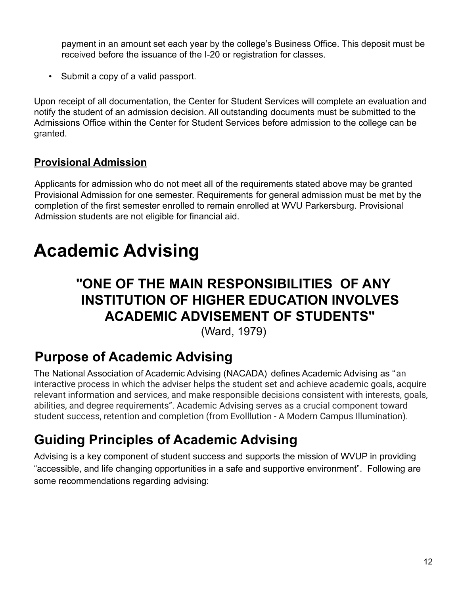payment in an amount set each year by the college's Business Office. This deposit must be received before the issuance of the I-20 or registration for classes.

• Submit a copy of a valid passport.

Upon receipt of all documentation, the Center for Student Services will complete an evaluation and notify the student of an admission decision. All outstanding documents must be submitted to the Admissions Office within the Center for Student Services before admission to the college can be granted.

# <span id="page-11-0"></span>**Provisional Admission**

Applicants for admission who do not meet all of the requirements stated above may be granted Provisional Admission for one semester. Requirements for general admission must be met by the completion of the first semester enrolled to remain enrolled at WVU Parkersburg. Provisional Admission students are not eligible for financial aid.

# <span id="page-11-1"></span>**Academic Advising**

# **"ONE OF THE MAIN RESPONSIBILITIES OF ANY INSTITUTION OF HIGHER EDUCATION INVOLVES ACADEMIC ADVISEMENT OF STUDENTS"**

(Ward, 1979)

# <span id="page-11-2"></span>**Purpose of Academic Advising**

The National Association of Academic Advising (NACADA) defines Academic Advising as "an interactive process in which the adviser helps the student set and achieve academic goals, acquire relevant information and services, and make responsible decisions consistent with interests, goals, abilities, and degree requirements". Academic Advising serves as a crucial component toward student success, retention and completion (from Evolllution - A Modern Campus Illumination).

# <span id="page-11-3"></span>**Guiding Principles of Academic Advising**

Advising is a key component of student success and supports the mission of WVUP in providing "accessible, and life changing opportunities in a safe and supportive environment". Following are some recommendations regarding advising: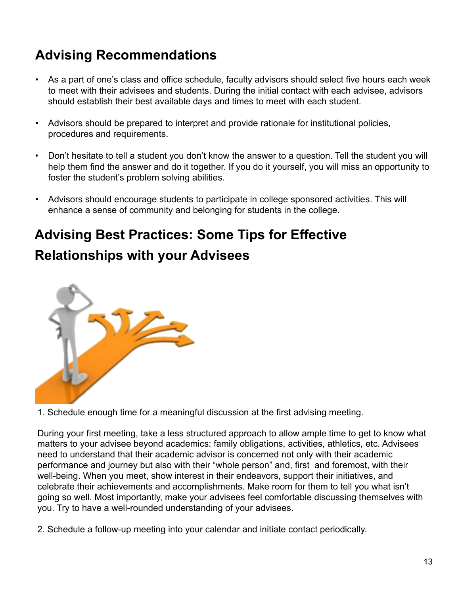# <span id="page-12-0"></span>**Advising Recommendations**

- As a part of one's class and office schedule, faculty advisors should select five hours each week to meet with their advisees and students. During the initial contact with each advisee, advisors should establish their best available days and times to meet with each student.
- Advisors should be prepared to interpret and provide rationale for institutional policies, procedures and requirements.
- Don't hesitate to tell a student you don't know the answer to a question. Tell the student you will help them find the answer and do it together. If you do it yourself, you will miss an opportunity to foster the student's problem solving abilities.
- Advisors should encourage students to participate in college sponsored activities. This will enhance a sense of community and belonging for students in the college.

# **Advising Best Practices: Some Tips for Effective**

# <span id="page-12-1"></span>**Relationships with your Advisees**



1. Schedule enough time for a meaningful discussion at the first advising meeting.

During your first meeting, take a less structured approach to allow ample time to get to know what matters to your advisee beyond academics: family obligations, activities, athletics, etc. Advisees need to understand that their academic advisor is concerned not only with their academic performance and journey but also with their "whole person" and, first and foremost, with their well-being. When you meet, show interest in their endeavors, support their initiatives, and celebrate their achievements and accomplishments. Make room for them to tell you what isn't going so well. Most importantly, make your advisees feel comfortable discussing themselves with you. Try to have a well-rounded understanding of your advisees.

2. Schedule a follow-up meeting into your calendar and initiate contact periodically.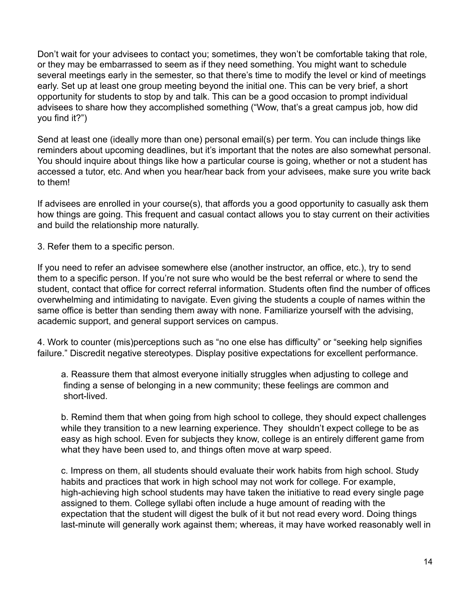Don't wait for your advisees to contact you; sometimes, they won't be comfortable taking that role, or they may be embarrassed to seem as if they need something. You might want to schedule several meetings early in the semester, so that there's time to modify the level or kind of meetings early. Set up at least one group meeting beyond the initial one. This can be very brief, a short opportunity for students to stop by and talk. This can be a good occasion to prompt individual advisees to share how they accomplished something ("Wow, that's a great campus job, how did you find it?")

Send at least one (ideally more than one) personal email(s) per term. You can include things like reminders about upcoming deadlines, but it's important that the notes are also somewhat personal. You should inquire about things like how a particular course is going, whether or not a student has accessed a tutor, etc. And when you hear/hear back from your advisees, make sure you write back to them!

If advisees are enrolled in your course(s), that affords you a good opportunity to casually ask them how things are going. This frequent and casual contact allows you to stay current on their activities and build the relationship more naturally.

3. Refer them to a specific person.

If you need to refer an advisee somewhere else (another instructor, an office, etc.), try to send them to a specific person. If you're not sure who would be the best referral or where to send the student, contact that office for correct referral information. Students often find the number of offices overwhelming and intimidating to navigate. Even giving the students a couple of names within the same office is better than sending them away with none. Familiarize yourself with the advising, academic support, and general support services on campus.

4. Work to counter (mis)perceptions such as "no one else has difficulty" or "seeking help signifies failure." Discredit negative stereotypes. Display positive expectations for excellent performance.

a. Reassure them that almost everyone initially struggles when adjusting to college and finding a sense of belonging in a new community; these feelings are common and short-lived.

b. Remind them that when going from high school to college, they should expect challenges while they transition to a new learning experience. They shouldn't expect college to be as easy as high school. Even for subjects they know, college is an entirely different game from what they have been used to, and things often move at warp speed.

c. Impress on them, all students should evaluate their work habits from high school. Study habits and practices that work in high school may not work for college. For example, high-achieving high school students may have taken the initiative to read every single page assigned to them. College syllabi often include a huge amount of reading with the expectation that the student will digest the bulk of it but not read every word. Doing things last-minute will generally work against them; whereas, it may have worked reasonably well in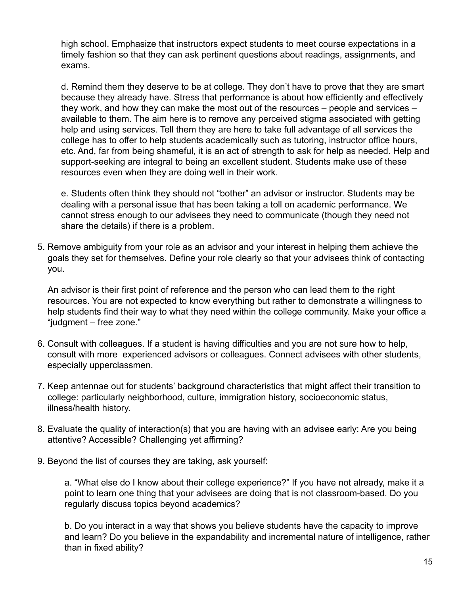high school. Emphasize that instructors expect students to meet course expectations in a timely fashion so that they can ask pertinent questions about readings, assignments, and exams.

d. Remind them they deserve to be at college. They don't have to prove that they are smart because they already have. Stress that performance is about how efficiently and effectively they work, and how they can make the most out of the resources – people and services – available to them. The aim here is to remove any perceived stigma associated with getting help and using services. Tell them they are here to take full advantage of all services the college has to offer to help students academically such as tutoring, instructor office hours, etc. And, far from being shameful, it is an act of strength to ask for help as needed. Help and support-seeking are integral to being an excellent student. Students make use of these resources even when they are doing well in their work.

e. Students often think they should not "bother" an advisor or instructor. Students may be dealing with a personal issue that has been taking a toll on academic performance. We cannot stress enough to our advisees they need to communicate (though they need not share the details) if there is a problem.

5. Remove ambiguity from your role as an advisor and your interest in helping them achieve the goals they set for themselves. Define your role clearly so that your advisees think of contacting you.

An advisor is their first point of reference and the person who can lead them to the right resources. You are not expected to know everything but rather to demonstrate a willingness to help students find their way to what they need within the college community. Make your office a "judgment – free zone."

- 6. Consult with colleagues. If a student is having difficulties and you are not sure how to help, consult with more experienced advisors or colleagues. Connect advisees with other students, especially upperclassmen.
- 7. Keep antennae out for students' background characteristics that might affect their transition to college: particularly neighborhood, culture, immigration history, socioeconomic status, illness/health history.
- 8. Evaluate the quality of interaction(s) that you are having with an advisee early: Are you being attentive? Accessible? Challenging yet affirming?
- 9. Beyond the list of courses they are taking, ask yourself:

a. "What else do I know about their college experience?" If you have not already, make it a point to learn one thing that your advisees are doing that is not classroom-based. Do you regularly discuss topics beyond academics?

b. Do you interact in a way that shows you believe students have the capacity to improve and learn? Do you believe in the expandability and incremental nature of intelligence, rather than in fixed ability?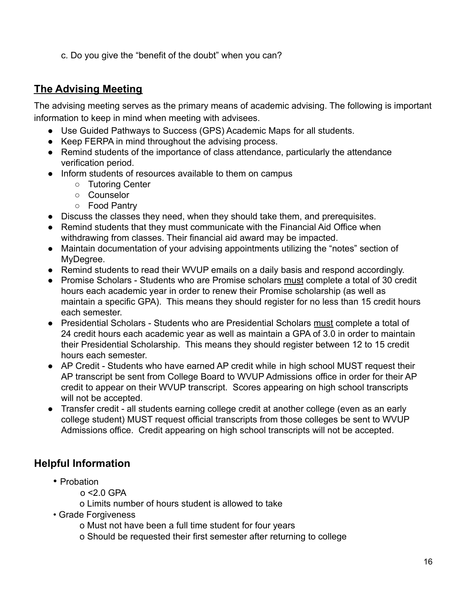c. Do you give the "benefit of the doubt" when you can?

## <span id="page-15-0"></span>**The Advising Meeting**

The advising meeting serves as the primary means of academic advising. The following is important information to keep in mind when meeting with advisees.

- Use Guided Pathways to Success (GPS) Academic Maps for all students.
- Keep FERPA in mind throughout the advising process.
- Remind students of the importance of class attendance, particularly the attendance verification period.
- Inform students of resources available to them on campus
	- Tutoring Center
	- Counselor
	- Food Pantry
- Discuss the classes they need, when they should take them, and prerequisites.
- Remind students that they must communicate with the Financial Aid Office when withdrawing from classes. Their financial aid award may be impacted.
- Maintain documentation of your advising appointments utilizing the "notes" section of MyDegree.
- Remind students to read their WVUP emails on a daily basis and respond accordingly.
- Promise Scholars Students who are Promise scholars must complete a total of 30 credit hours each academic year in order to renew their Promise scholarship (as well as maintain a specific GPA). This means they should register for no less than 15 credit hours each semester.
- Presidential Scholars Students who are Presidential Scholars must complete a total of 24 credit hours each academic year as well as maintain a GPA of 3.0 in order to maintain their Presidential Scholarship. This means they should register between 12 to 15 credit hours each semester.
- AP Credit Students who have earned AP credit while in high school MUST request their AP transcript be sent from College Board to WVUP Admissions office in order for their AP credit to appear on their WVUP transcript. Scores appearing on high school transcripts will not be accepted.
- Transfer credit all students earning college credit at another college (even as an early college student) MUST request official transcripts from those colleges be sent to WVUP Admissions office. Credit appearing on high school transcripts will not be accepted.

# <span id="page-15-1"></span>**Helpful Information**

- Probation
	- o <2.0 GPA
	- o Limits number of hours student is allowed to take
- Grade Forgiveness
	- o Must not have been a full time student for four years
	- o Should be requested their first semester after returning to college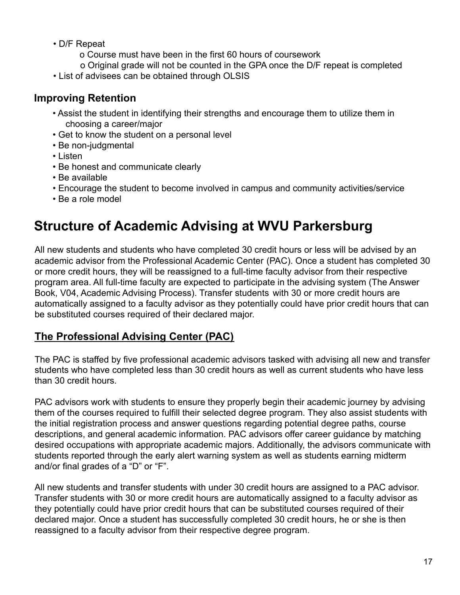- D/F Repeat
	- o Course must have been in the first 60 hours of coursework
	- o Original grade will not be counted in the GPA once the D/F repeat is completed
- List of advisees can be obtained through OLSIS

#### <span id="page-16-0"></span>**Improving Retention**

- Assist the student in identifying their strengths and encourage them to utilize them in choosing a career/major
- Get to know the student on a personal level
- Be non-judgmental
- Listen
- Be honest and communicate clearly
- Be available
- Encourage the student to become involved in campus and community activities/service
- Be a role model

# <span id="page-16-1"></span>**Structure of Academic Advising at WVU Parkersburg**

All new students and students who have completed 30 credit hours or less will be advised by an academic advisor from the Professional Academic Center (PAC). Once a student has completed 30 or more credit hours, they will be reassigned to a full-time faculty advisor from their respective program area. All full-time faculty are expected to participate in the advising system (The Answer Book, V04, Academic Advising Process). Transfer students with 30 or more credit hours are automatically assigned to a faculty advisor as they potentially could have prior credit hours that can be substituted courses required of their declared major.

#### <span id="page-16-2"></span>**The Professional Advising Center (PAC)**

The PAC is staffed by five professional academic advisors tasked with advising all new and transfer students who have completed less than 30 credit hours as well as current students who have less than 30 credit hours.

PAC advisors work with students to ensure they properly begin their academic journey by advising them of the courses required to fulfill their selected degree program. They also assist students with the initial registration process and answer questions regarding potential degree paths, course descriptions, and general academic information. PAC advisors offer career guidance by matching desired occupations with appropriate academic majors. Additionally, the advisors communicate with students reported through the early alert warning system as well as students earning midterm and/or final grades of a "D" or "F".

All new students and transfer students with under 30 credit hours are assigned to a PAC advisor. Transfer students with 30 or more credit hours are automatically assigned to a faculty advisor as they potentially could have prior credit hours that can be substituted courses required of their declared major. Once a student has successfully completed 30 credit hours, he or she is then reassigned to a faculty advisor from their respective degree program.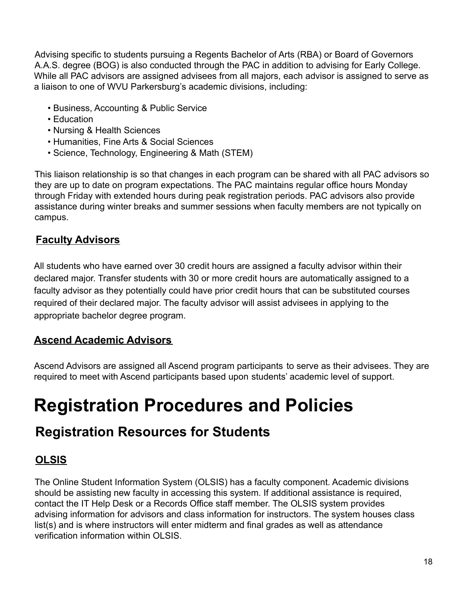Advising specific to students pursuing a Regents Bachelor of Arts (RBA) or Board of Governors A.A.S. degree (BOG) is also conducted through the PAC in addition to advising for Early College. While all PAC advisors are assigned advisees from all majors, each advisor is assigned to serve as a liaison to one of WVU Parkersburg's academic divisions, including:

- Business, Accounting & Public Service
- Education
- Nursing & Health Sciences
- Humanities, Fine Arts & Social Sciences
- Science, Technology, Engineering & Math (STEM)

This liaison relationship is so that changes in each program can be shared with all PAC advisors so they are up to date on program expectations. The PAC maintains regular office hours Monday through Friday with extended hours during peak registration periods. PAC advisors also provide assistance during winter breaks and summer sessions when faculty members are not typically on campus.

## <span id="page-17-0"></span>**Faculty Advisors**

All students who have earned over 30 credit hours are assigned a faculty advisor within their declared major. Transfer students with 30 or more credit hours are automatically assigned to a faculty advisor as they potentially could have prior credit hours that can be substituted courses required of their declared major. The faculty advisor will assist advisees in applying to the appropriate bachelor degree program.

## <span id="page-17-1"></span>**Ascend Academic Advisors**

Ascend Advisors are assigned all Ascend program participants to serve as their advisees. They are required to meet with Ascend participants based upon students' academic level of support.

# <span id="page-17-2"></span>**Registration Procedures and Policies**

# <span id="page-17-3"></span>**Registration Resources for Students**

# <span id="page-17-4"></span>**OLSIS**

The Online Student Information System (OLSIS) has a faculty component. Academic divisions should be assisting new faculty in accessing this system. If additional assistance is required, contact the IT Help Desk or a Records Office staff member. The OLSIS system provides advising information for advisors and class information for instructors. The system houses class list(s) and is where instructors will enter midterm and final grades as well as attendance verification information within OLSIS.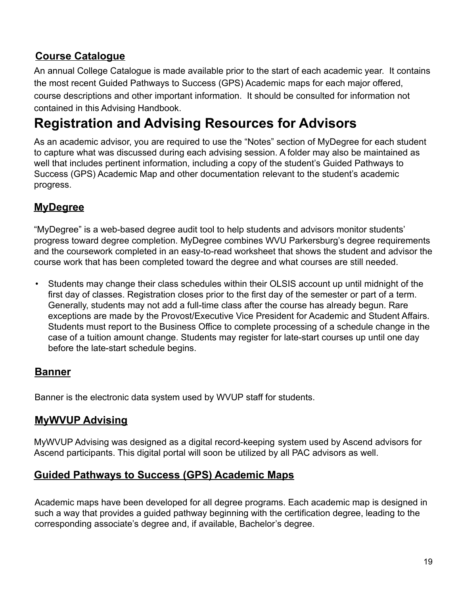## <span id="page-18-0"></span>**Course Catalogue**

An annual College Catalogue is made available prior to the start of each academic year. It contains the most recent Guided Pathways to Success (GPS) Academic maps for each major offered, course descriptions and other important information. It should be consulted for information not contained in this Advising Handbook.

# <span id="page-18-1"></span>**Registration and Advising Resources for Advisors**

As an academic advisor, you are required to use the "Notes" section of MyDegree for each student to capture what was discussed during each advising session. A folder may also be maintained as well that includes pertinent information, including a copy of the student's Guided Pathways to Success (GPS) Academic Map and other documentation relevant to the student's academic progress.

## <span id="page-18-2"></span>**MyDegree**

"MyDegree" is a web-based degree audit tool to help students and advisors monitor students' progress toward degree completion. MyDegree combines WVU Parkersburg's degree requirements and the coursework completed in an easy-to-read worksheet that shows the student and advisor the course work that has been completed toward the degree and what courses are still needed.

• Students may change their class schedules within their OLSIS account up until midnight of the first day of classes. Registration closes prior to the first day of the semester or part of a term. Generally, students may not add a full-time class after the course has already begun. Rare exceptions are made by the Provost/Executive Vice President for Academic and Student Affairs. Students must report to the Business Office to complete processing of a schedule change in the case of a tuition amount change. Students may register for late-start courses up until one day before the late-start schedule begins.

#### <span id="page-18-3"></span>**Banner**

Banner is the electronic data system used by WVUP staff for students.

#### <span id="page-18-4"></span>**MyWVUP Advising**

MyWVUP Advising was designed as a digital record-keeping system used by Ascend advisors for Ascend participants. This digital portal will soon be utilized by all PAC advisors as well.

#### <span id="page-18-5"></span>**Guided Pathways to Success (GPS) Academic Maps**

Academic maps have been developed for all degree programs. Each academic map is designed in such a way that provides a guided pathway beginning with the certification degree, leading to the corresponding associate's degree and, if available, Bachelor's degree.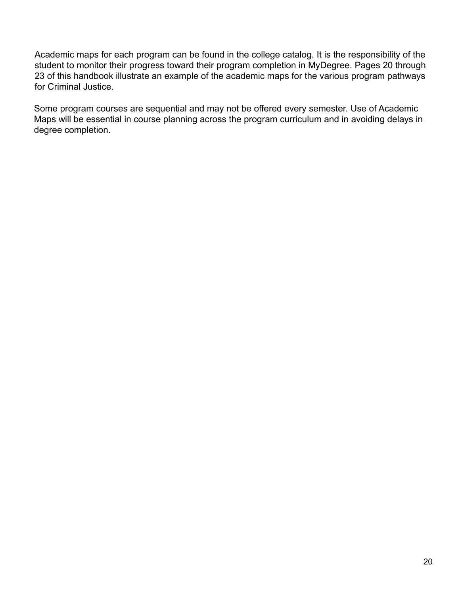Academic maps for each program can be found in the college catalog. It is the responsibility of the student to monitor their progress toward their program completion in MyDegree. Pages 20 through 23 of this handbook illustrate an example of the academic maps for the various program pathways for Criminal Justice.

Some program courses are sequential and may not be offered every semester. Use of Academic Maps will be essential in course planning across the program curriculum and in avoiding delays in degree completion.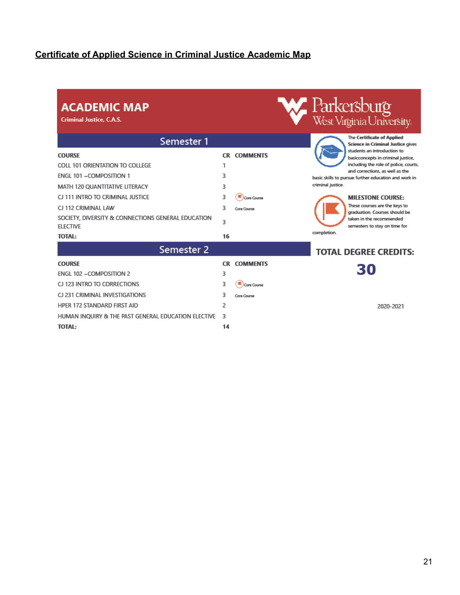# **Certificate of Applied Science in Criminal Justice Academic Map**

a sa kacamatan ing Kabupatèn Kabupatèn Kabupatèn Kabupatèn Kabupatèn Kabupatèn Kabupatèn Kabupatèn Kabupatèn K

| <b>ACADEMIC MAP</b><br><b>Criminal Justice, C.A.S.</b>                                                                           |                    |                            | Parkersburg<br>West Virginia University                                                                                                                                                                                    |
|----------------------------------------------------------------------------------------------------------------------------------|--------------------|----------------------------|----------------------------------------------------------------------------------------------------------------------------------------------------------------------------------------------------------------------------|
| Semester 1                                                                                                                       |                    |                            | <b>The Certificate of Applied</b><br><b>Science in Criminal Justice gives</b>                                                                                                                                              |
| <b>COURSE</b><br>COLL 101 ORIENTATION TO COLLEGE<br>ENGL 101 ~COMPOSITION 1<br>MATH 120 QUANTITATIVE LITERACY                    | CR.<br>1<br>3<br>3 | <b>COMMENTS</b>            | students an introduction to<br>basicconcepts in criminal justice,<br>including the role of police, courts,<br>and corrections, as well as the<br>basic skills to pursue further education and work in<br>criminal justice. |
| CJ 111 INTRO TO CRIMINAL JUSTICE<br>CJ 112 CRIMINAL LAW<br>SOCIETY, DIVERSITY & CONNECTIONS GENERAL EDUCATION<br><b>ELECTIVE</b> | 3<br>3<br>3        | Core Course<br>Care Course | <b>MILESTONE COURSE:</b><br>These courses are the keys to<br>graduation. Courses should be<br>taken in the recommended<br>semesters to stay on time for<br>completion.                                                     |
| <b>TOTAL:</b><br>Semester 2                                                                                                      | 16                 |                            |                                                                                                                                                                                                                            |
| <b>COURSE</b>                                                                                                                    | CR.                | <b>COMMENTS</b>            | <b>TOTAL DEGREE CREDITS:</b>                                                                                                                                                                                               |
| ENGL 102 ~COMPOSITION 2                                                                                                          | 3                  |                            | 30                                                                                                                                                                                                                         |
| CJ 123 INTRO TO CORRECTIONS                                                                                                      | 3                  | Core Course                |                                                                                                                                                                                                                            |
| CJ 231 CRIMINAL INVESTIGATIONS                                                                                                   | 3                  | Care Course                |                                                                                                                                                                                                                            |
| <b>HPER 172 STANDARD FIRST AID</b>                                                                                               | 2                  |                            | 2020-2021                                                                                                                                                                                                                  |
| HUMAN INOUIRY & THE PAST GENERAL EDUCATION ELECTIVE                                                                              | 3                  |                            |                                                                                                                                                                                                                            |
| <b>TOTAL:</b>                                                                                                                    | 14                 |                            |                                                                                                                                                                                                                            |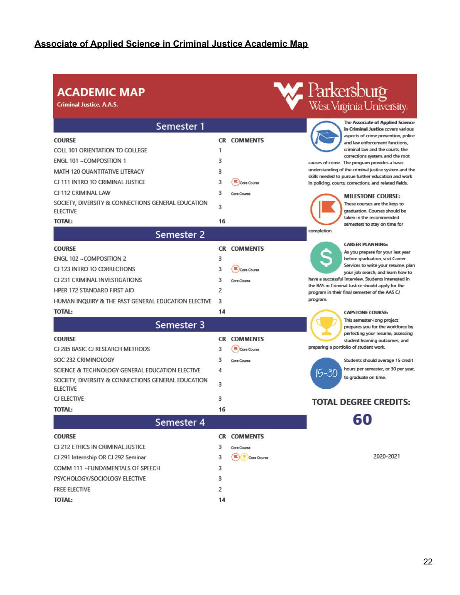#### **Associate of Applied Science in Criminal Justice Academic Map**

#### **ACADEMIC MAP**

**Criminal Justice, A.A.S.** 

| Semester 1                                                            |     |                   |  |  |
|-----------------------------------------------------------------------|-----|-------------------|--|--|
| <b>COURSE</b>                                                         | CR. | <b>COMMENTS</b>   |  |  |
| COLL 101 ORIENTATION TO COLLEGE                                       | 1   |                   |  |  |
| ENGL 101 ~COMPOSITION 1                                               | 3   | c                 |  |  |
| MATH 120 QUANTITATIVE LITERACY                                        | 3   |                   |  |  |
| CJ 111 INTRO TO CRIMINAL JUSTICE                                      | 3   | Ì.<br>Core Course |  |  |
| CJ 112 CRIMINAL LAW                                                   | 3   | Care Course       |  |  |
| SOCIETY, DIVERSITY & CONNECTIONS GENERAL EDUCATION<br><b>ELECTIVE</b> | 3   |                   |  |  |
| <b>TOTAL:</b>                                                         | 16  |                   |  |  |
| Semester 2                                                            |     | c                 |  |  |
| <b>COURSE</b>                                                         | CR. | <b>COMMENTS</b>   |  |  |
| ENGL 102 ~COMPOSITION 2                                               | 3   |                   |  |  |
| CJ 123 INTRO TO CORRECTIONS                                           | 3   | Core Course       |  |  |
| CJ 231 CRIMINAL INVESTIGATIONS                                        | 3   | h<br>Care Course  |  |  |
| HPER 172 STANDARD FIRST AID                                           | 2   | F                 |  |  |

Semester 3

Semester 4

# V Parkersburg<br>West Virginia University

The Associate of Applied Science in Criminal Justice covers various aspects of crime prevention, police and law enforcement functions, criminal law and the courts, the corrections system, and the root auses of crime. The program provides a basic inderstanding of the criminal justice system and the kills needed to pursue further education and work n policing, courts, corrections, and related fields.



#### **MILESTONE COURSE:** These courses are the keys to graduation. Courses should be taken in the recommended semesters to stay on time for

**CAREER PLANNING:** As you prepare for your last year before graduation, visit Career Services to write your resume, plan your job search, and learn how to ave a successful interview. Students interested in he BAS in Criminal Justice should apply for the  $10^{\circ}$  rogram in their final semester of the AAS  $\Box$ program.



This semester-long project prepares you for the workforce by perfecting your resume, assessing student learning outcomes, and preparing a portfolio of student work.

> Students should average 15 credit hours per semester, or 30 per year, to graduate on time.

#### **TOTAL DEGREE CREDITS:**



2020-2021

#### **COURSE**

**ELECTIVE** CJ ELECTIVE

**TOTAL:** 

**TOTAL:** 

**COURSE** 

| TOTAL:                              |
|-------------------------------------|
| <b>FREE ELECTIVE</b>                |
| PSYCHOLOGY/SOCIOLOGY ELECTIVE       |
| COMM 111 ~FUNDAMENTALS OF SPEECH    |
| CJ 291 Internship OR CJ 292 Seminar |
| CJ 212 ETHICS IN CRIMINAL JUSTICE   |

CJ 285 BASIC CJ RESEARCH METHODS

SOC 232 CRIMINOLOGY

HUMAN INQUIRY & THE PAST GENERAL EDUCATION ELECTIVE 3

SCIENCE & TECHNOLOGY GENERAL EDUCATION ELECTIVE

SOCIETY, DIVERSITY & CONNECTIONS GENERAL EDUCATION

**CR COMMENTS** 3 Core Course 3

 $14$ 

3

3

 $\overline{4}$ 

3

3

16

14

**CR COMMENTS** 

Core Course

Core Course

**B** Core Course 3 3 2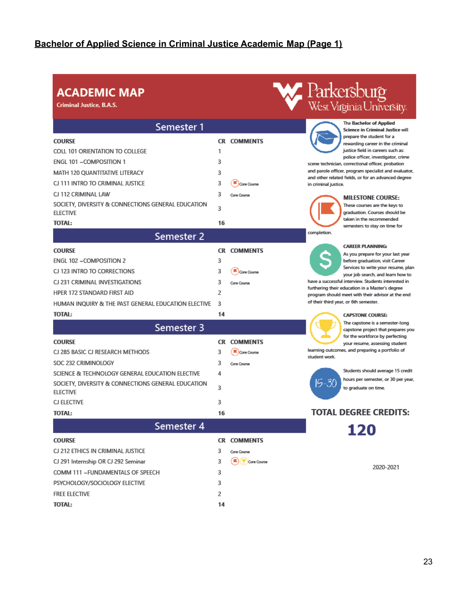#### **Bachelor of Applied Science in Criminal Justice Academic Map (Page 1)**

#### **ACADEMIC MAP**

**Criminal Justice, B.A.S.** 

| Semester i                                                            |    |                    |
|-----------------------------------------------------------------------|----|--------------------|
| <b>COURSE</b>                                                         |    | <b>CR COMMENTS</b> |
| COLL 101 ORIENTATION TO COLLEGE                                       |    |                    |
| ENGL 101 ~COMPOSITION 1                                               | 3  |                    |
| <b>MATH 120 OUANTITATIVE LITERACY</b>                                 | 3  |                    |
| CJ 111 INTRO TO CRIMINAL JUSTICE                                      | 3  |                    |
| CJ 112 CRIMINAL LAW                                                   | 3  | Care Course        |
| SOCIETY, DIVERSITY & CONNECTIONS GENERAL EDUCATION<br><b>ELECTIVE</b> | 3  |                    |
| <b>TOTAL:</b>                                                         | 16 |                    |

Semester 2

Semester 3

# Parkersburg<br>West Virginia University



The Bachelor of Applied **Science in Criminal Justice will** prepare the student for a rewarding career in the criminal justice field in careers such as: police officer, investigator, crime scene technician, correctional officer, probation and parole officer, program specialist and evaluator, and other related fields, or for an advanced degree in criminal justice.



**CAREER PLANNING:** As you prepare for your last year before graduation, visit Career Services to write your resume, plan your job search, and learn how to

have a successful interview. Students interested in furthering their education in a Master's degree program should meet with their advisor at the end of their third year, or 6th semester.



student work.

**CAPSTONE COURSE:** The capstone is a semester-long capstone project that prepares you for the workforce by perfecting your resume, assessing student learning outcomes, and preparing a portfolio of

Students should average 15 credit hours per semester, or 30 per year, 15-30 to graduate on time

# **TOTAL DEGREE CREDITS:** 120

**COURSE** 

**COURSE** 

**TOTAL:** 

**COURSE** 

**ELECTIVE** CJ ELECTIVE

**TOTAL:** 

ENGL 102 ~COMPOSITION 2

CJ 123 INTRO TO CORRECTIONS

HPER 172 STANDARD FIRST AID

CJ 231 CRIMINAL INVESTIGATIONS

CJ 285 BASIC CJ RESEARCH METHODS

SOC 232 CRIMINOLOGY

HUMAN INQUIRY & THE PAST GENERAL EDUCATION ELECTIVE

SCIENCE & TECHNOLOGY GENERAL EDUCATION ELECTIVE

SOCIETY, DIVERSITY & CONNECTIONS GENERAL EDUCATION

CJ 212 ETHICS IN CRIMINAL JUSTICE CJ 291 Internship OR CJ 292 Seminar COMM 111 ~FUNDAMENTALS OF SPEECH PSYCHOLOGY/SOCIOLOGY ELECTIVE **FREE ELECTIVE TOTAL:** 

#### Semester 4

3 Core Course 3 (C) Core Course 3 3  $\overline{2}$ 

**CR COMMENTS** 

**CR COMMENTS** 

Core Course

Core Course

**CR COMMENTS** 

Core Course

Core Course

3

3

3

 $\overline{z}$ 

 $\overline{3}$ 

3

3

4

 $\overline{3}$ 

3

16

 $14$ 

 $14$ 

2020-2021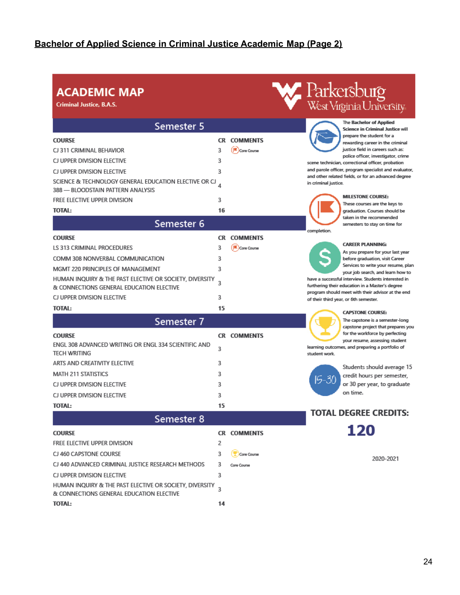#### **Bachelor of Applied Science in Criminal Justice Academic Map (Page 2)**

#### **ACADEMIC MAP**

**Criminal Justice, B.A.S.** 

**COURSE** 

LS 313 CRIMINAL PROCEDURES

| Semester 5 ' |  |
|--------------|--|

Semester 6

Semester 8

**CR COMMENTS** 

(E) Core Course

3

| <b>COURSE</b>                                                                              |    | <b>CR COMMENTS</b> |
|--------------------------------------------------------------------------------------------|----|--------------------|
| CJ 311 CRIMINAL BEHAVIOR                                                                   |    |                    |
| CJ UPPER DIVISION ELECTIVE                                                                 | 3  |                    |
| CJ UPPER DIVISION ELECTIVE                                                                 | з  |                    |
| SCIENCE & TECHNOLOGY GENERAL EDUCATION ELECTIVE OR CJ<br>388 - BLOODSTAIN PATTERN ANALYSIS |    |                    |
| FREE ELECTIVE UPPER DIVISION                                                               | З  |                    |
| <b>TOTAL:</b>                                                                              | 16 |                    |

¢

# Parkersburg<br>West Virginia University



The Bachelor of Applied **Science in Criminal Justice will** prepare the student for a rewarding career in the criminal justice field in careers such as: police officer, investigator, crime scene technician, correctional officer, probation and parole officer, program specialist and evaluator, and other related fields, or for an advanced degree in criminal justice.



**MILESTONE COURSE:** These courses are the keys to graduation. Courses should be taken in the recommended semesters to stay on time for

#### **CAREER PLANNING:**

As you prepare for your last year before graduation, visit Career Services to write your resume, plan your job search, and learn how to

have a successful interview. Students interested in furthering their education in a Master's degree program should meet with their advisor at the end of their third year, or 6th semester.



The capstone is a semester-long capstone project that prepares you for the workforce by perfecting your resume, assessing student learning outcomes, and preparing a portfolio of

student work.



Students should average 15 credit hours per semester, or 30 per year, to graduate on time.

**TOTAL DEGREE CREDITS:** 120

2020-2021

| <b>COURSE</b>                                                                                       |    | <b>COMMENTS</b> |
|-----------------------------------------------------------------------------------------------------|----|-----------------|
| Semester 7                                                                                          |    |                 |
| <b>TOTAL:</b>                                                                                       | 15 |                 |
| CJ UPPER DIVISION ELECTIVE                                                                          | 3  |                 |
| HUMAN INQUIRY & THE PAST ELECTIVE OR SOCIETY, DIVERSITY<br>& CONNECTIONS GENERAL EDUCATION ELECTIVE |    |                 |
| MGMT 220 PRINCIPLES OF MANAGEMENT                                                                   | 3  |                 |
| COMM 308 NONVERBAL COMMUNICATION                                                                    | 3  |                 |
|                                                                                                     |    |                 |

| ENGL 308 ADVANCED WRITING OR ENGL 334 SCIENTIFIC AND<br><b>TECH WRITING</b> |    |
|-----------------------------------------------------------------------------|----|
| ARTS AND CREATIVITY FLECTIVE                                                | 3  |
| <b>MATH 211 STATISTICS</b>                                                  | з  |
| CJ UPPER DIVISION ELECTIVE                                                  | з  |
| CJ UPPER DIVISION ELECTIVE                                                  | з  |
| <b>TOTAL:</b>                                                               | 15 |

| <b>COURSE</b>                                                                                       |   | <b>CR COMMENTS</b> |
|-----------------------------------------------------------------------------------------------------|---|--------------------|
| FREE ELECTIVE UPPER DIVISION                                                                        | 2 |                    |
| CJ 460 CAPSTONE COURSE                                                                              | 3 |                    |
| CJ 440 ADVANCED CRIMINAL JUSTICE RESEARCH METHODS                                                   | 3 | Core Course        |
| CJ UPPER DIVISION ELECTIVE                                                                          | з |                    |
| HUMAN INQUIRY & THE PAST ELECTIVE OR SOCIETY, DIVERSITY<br>& CONNECTIONS GENERAL EDUCATION ELECTIVE |   |                    |
| <b>TOTAL:</b>                                                                                       |   |                    |

**TOTAL:**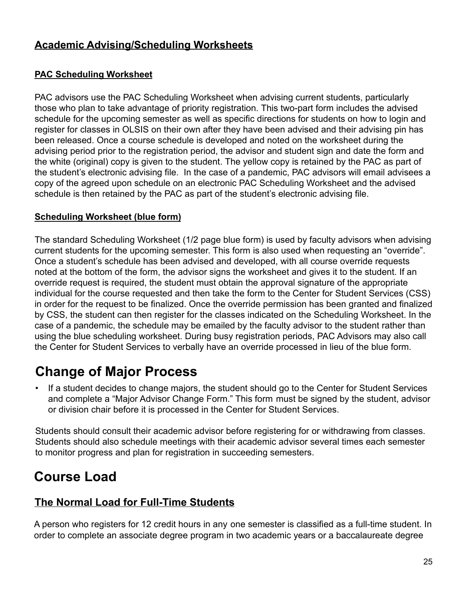## <span id="page-24-0"></span>**Academic Advising/Scheduling Worksheets**

#### <span id="page-24-1"></span>**PAC Scheduling Worksheet**

PAC advisors use the PAC Scheduling Worksheet when advising current students, particularly those who plan to take advantage of priority registration. This two-part form includes the advised schedule for the upcoming semester as well as specific directions for students on how to login and register for classes in OLSIS on their own after they have been advised and their advising pin has been released. Once a course schedule is developed and noted on the worksheet during the advising period prior to the registration period, the advisor and student sign and date the form and the white (original) copy is given to the student. The yellow copy is retained by the PAC as part of the student's electronic advising file. In the case of a pandemic, PAC advisors will email advisees a copy of the agreed upon schedule on an electronic PAC Scheduling Worksheet and the advised schedule is then retained by the PAC as part of the student's electronic advising file.

#### <span id="page-24-2"></span>**Scheduling Worksheet (blue form)**

The standard Scheduling Worksheet (1/2 page blue form) is used by faculty advisors when advising current students for the upcoming semester. This form is also used when requesting an "override". Once a student's schedule has been advised and developed, with all course override requests noted at the bottom of the form, the advisor signs the worksheet and gives it to the student. If an override request is required, the student must obtain the approval signature of the appropriate individual for the course requested and then take the form to the Center for Student Services (CSS) in order for the request to be finalized. Once the override permission has been granted and finalized by CSS, the student can then register for the classes indicated on the Scheduling Worksheet. In the case of a pandemic, the schedule may be emailed by the faculty advisor to the student rather than using the blue scheduling worksheet. During busy registration periods, PAC Advisors may also call the Center for Student Services to verbally have an override processed in lieu of the blue form.

# <span id="page-24-3"></span>**Change of Major Process**

If a student decides to change majors, the student should go to the Center for Student Services and complete a "Major Advisor Change Form." This form must be signed by the student, advisor or division chair before it is processed in the Center for Student Services.

Students should consult their academic advisor before registering for or withdrawing from classes. Students should also schedule meetings with their academic advisor several times each semester to monitor progress and plan for registration in succeeding semesters.

# <span id="page-24-4"></span>**Course Load**

#### <span id="page-24-5"></span>**The Normal Load for Full-Time Students**

A person who registers for 12 credit hours in any one semester is classified as a full-time student. In order to complete an associate degree program in two academic years or a baccalaureate degree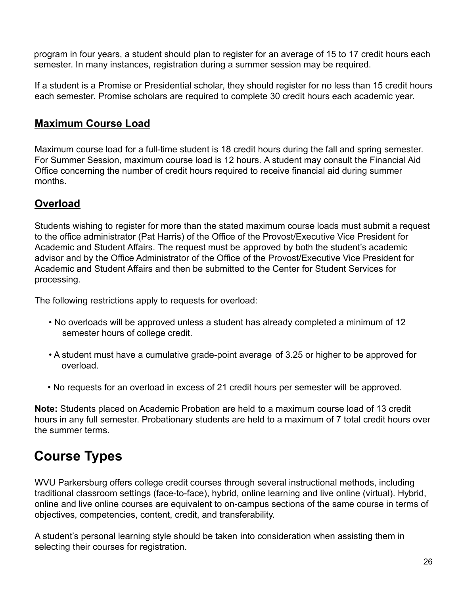program in four years, a student should plan to register for an average of 15 to 17 credit hours each semester. In many instances, registration during a summer session may be required.

If a student is a Promise or Presidential scholar, they should register for no less than 15 credit hours each semester. Promise scholars are required to complete 30 credit hours each academic year.

## <span id="page-25-0"></span>**Maximum Course Load**

Maximum course load for a full-time student is 18 credit hours during the fall and spring semester. For Summer Session, maximum course load is 12 hours. A student may consult the Financial Aid Office concerning the number of credit hours required to receive financial aid during summer months.

## <span id="page-25-1"></span>**Overload**

Students wishing to register for more than the stated maximum course loads must submit a request to the office administrator (Pat Harris) of the Office of the Provost/Executive Vice President for Academic and Student Affairs. The request must be approved by both the student's academic advisor and by the Office Administrator of the Office of the Provost/Executive Vice President for Academic and Student Affairs and then be submitted to the Center for Student Services for processing.

The following restrictions apply to requests for overload:

- No overloads will be approved unless a student has already completed a minimum of 12 semester hours of college credit.
- A student must have a cumulative grade-point average of 3.25 or higher to be approved for overload.
- No requests for an overload in excess of 21 credit hours per semester will be approved.

**Note:** Students placed on Academic Probation are held to a maximum course load of 13 credit hours in any full semester. Probationary students are held to a maximum of 7 total credit hours over the summer terms.

# <span id="page-25-2"></span>**Course Types**

WVU Parkersburg offers college credit courses through several instructional methods, including traditional classroom settings (face-to-face), hybrid, online learning and live online (virtual). Hybrid, online and live online courses are equivalent to on-campus sections of the same course in terms of objectives, competencies, content, credit, and transferability.

A student's personal learning style should be taken into consideration when assisting them in selecting their courses for registration.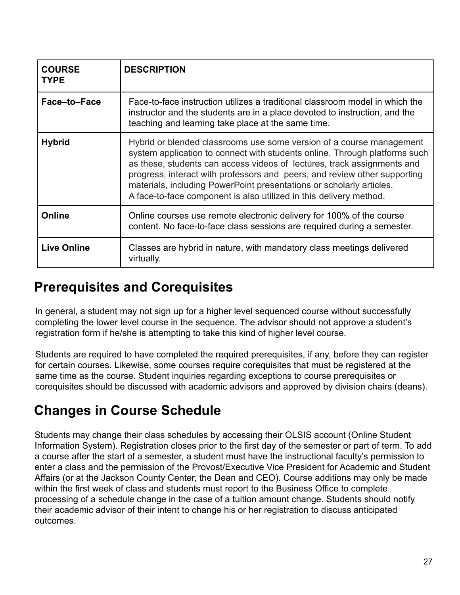| <b>COURSE</b><br><b>TYPE</b> | <b>DESCRIPTION</b>                                                                                                                                                                                                                                                                                                                                                                                                                                       |
|------------------------------|----------------------------------------------------------------------------------------------------------------------------------------------------------------------------------------------------------------------------------------------------------------------------------------------------------------------------------------------------------------------------------------------------------------------------------------------------------|
| Face-to-Face                 | Face-to-face instruction utilizes a traditional classroom model in which the<br>instructor and the students are in a place devoted to instruction, and the<br>teaching and learning take place at the same time.                                                                                                                                                                                                                                         |
| <b>Hybrid</b>                | Hybrid or blended classrooms use some version of a course management<br>system application to connect with students online. Through platforms such<br>as these, students can access videos of lectures, track assignments and<br>progress, interact with professors and peers, and review other supporting<br>materials, including PowerPoint presentations or scholarly articles.<br>A face-to-face component is also utilized in this delivery method. |
| Online                       | Online courses use remote electronic delivery for 100% of the course<br>content. No face-to-face class sessions are required during a semester.                                                                                                                                                                                                                                                                                                          |
| <b>Live Online</b>           | Classes are hybrid in nature, with mandatory class meetings delivered<br>virtually.                                                                                                                                                                                                                                                                                                                                                                      |

# <span id="page-26-0"></span>**Prerequisites and Corequisites**

In general, a student may not sign up for a higher level sequenced course without successfully completing the lower level course in the sequence. The advisor should not approve a student's registration form if he/she is attempting to take this kind of higher level course.

Students are required to have completed the required prerequisites, if any, before they can register for certain courses. Likewise, some courses require corequisites that must be registered at the same time as the course. Student inquiries regarding exceptions to course prerequisites or corequisites should be discussed with academic advisors and approved by division chairs (deans).

# <span id="page-26-1"></span>**Changes in Course Schedule**

Students may change their class schedules by accessing their OLSIS account (Online Student Information System). Registration closes prior to the first day of the semester or part of term. To add a course after the start of a semester, a student must have the instructional faculty's permission to enter a class and the permission of the Provost/Executive Vice President for Academic and Student Affairs (or at the Jackson County Center, the Dean and CEO). Course additions may only be made within the first week of class and students must report to the Business Office to complete processing of a schedule change in the case of a tuition amount change. Students should notify their academic advisor of their intent to change his or her registration to discuss anticipated outcomes.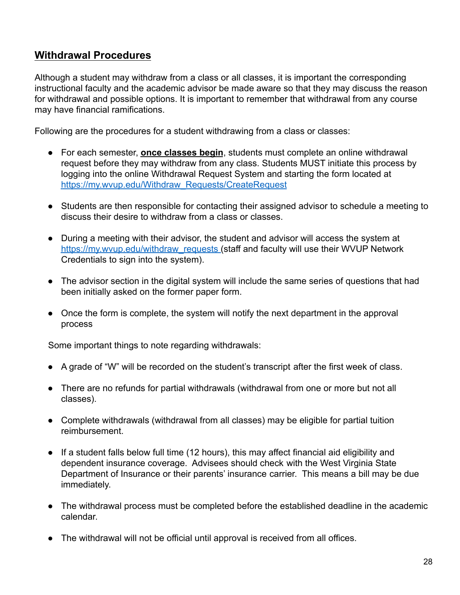#### <span id="page-27-0"></span>**Withdrawal Procedures**

Although a student may withdraw from a class or all classes, it is important the corresponding instructional faculty and the academic advisor be made aware so that they may discuss the reason for withdrawal and possible options. It is important to remember that withdrawal from any course may have financial ramifications.

Following are the procedures for a student withdrawing from a class or classes:

- For each semester, **once classes begin**, students must complete an online withdrawal request before they may withdraw from any class. Students MUST initiate this process by logging into the online Withdrawal Request System and starting the form located at https://my.wvup.edu/Withdraw\_Requests/CreateRequest
- Students are then responsible for contacting their assigned advisor to schedule a meeting to discuss their desire to withdraw from a class or classes.
- During a meeting with their advisor, the student and advisor will access the system at https://my.wvup.edu/withdraw\_requests (staff and faculty will use their WVUP Network Credentials to sign into the system).
- The advisor section in the digital system will include the same series of questions that had been initially asked on the former paper form.
- Once the form is complete, the system will notify the next department in the approval process

Some important things to note regarding withdrawals:

- A grade of "W" will be recorded on the student's transcript after the first week of class.
- There are no refunds for partial withdrawals (withdrawal from one or more but not all classes).
- Complete withdrawals (withdrawal from all classes) may be eligible for partial tuition reimbursement.
- If a student falls below full time (12 hours), this may affect financial aid eligibility and dependent insurance coverage. Advisees should check with the West Virginia State Department of Insurance or their parents' insurance carrier. This means a bill may be due immediately.
- The withdrawal process must be completed before the established deadline in the academic calendar.
- The withdrawal will not be official until approval is received from all offices.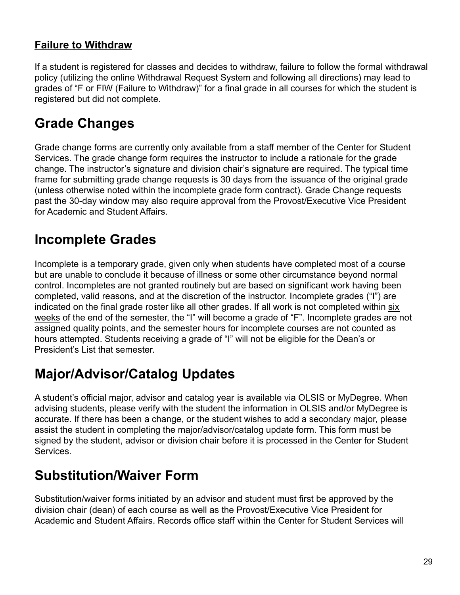## <span id="page-28-0"></span>**Failure to Withdraw**

If a student is registered for classes and decides to withdraw, failure to follow the formal withdrawal policy (utilizing the online Withdrawal Request System and following all directions) may lead to grades of "F or FIW (Failure to Withdraw)" for a final grade in all courses for which the student is registered but did not complete.

# <span id="page-28-1"></span>**Grade Changes**

Grade change forms are currently only available from a staff member of the Center for Student Services. The grade change form requires the instructor to include a rationale for the grade change. The instructor's signature and division chair's signature are required. The typical time frame for submitting grade change requests is 30 days from the issuance of the original grade (unless otherwise noted within the incomplete grade form contract). Grade Change requests past the 30-day window may also require approval from the Provost/Executive Vice President for Academic and Student Affairs.

# <span id="page-28-2"></span>**Incomplete Grades**

Incomplete is a temporary grade, given only when students have completed most of a course but are unable to conclude it because of illness or some other circumstance beyond normal control. Incompletes are not granted routinely but are based on significant work having been completed, valid reasons, and at the discretion of the instructor. Incomplete grades ("I") are indicated on the final grade roster like all other grades. If all work is not completed within six weeks of the end of the semester, the "I" will become a grade of "F". Incomplete grades are not assigned quality points, and the semester hours for incomplete courses are not counted as hours attempted. Students receiving a grade of "I" will not be eligible for the Dean's or President's List that semester.

# <span id="page-28-3"></span>**Major/Advisor/Catalog Updates**

A student's official major, advisor and catalog year is available via OLSIS or MyDegree. When advising students, please verify with the student the information in OLSIS and/or MyDegree is accurate. If there has been a change, or the student wishes to add a secondary major, please assist the student in completing the major/advisor/catalog update form. This form must be signed by the student, advisor or division chair before it is processed in the Center for Student Services.

# <span id="page-28-4"></span>**Substitution/Waiver Form**

Substitution/waiver forms initiated by an advisor and student must first be approved by the division chair (dean) of each course as well as the Provost/Executive Vice President for Academic and Student Affairs. Records office staff within the Center for Student Services will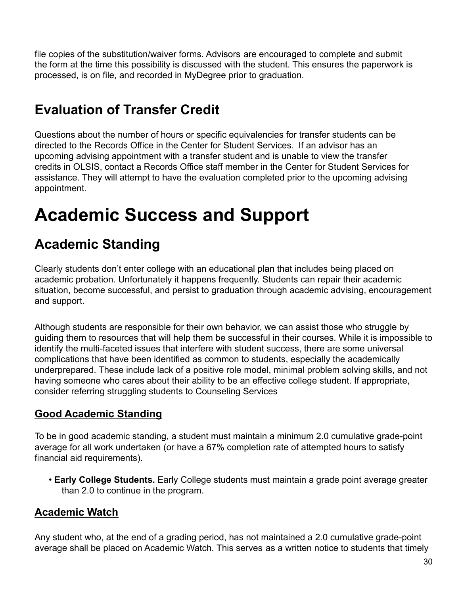file copies of the substitution/waiver forms. Advisors are encouraged to complete and submit the form at the time this possibility is discussed with the student. This ensures the paperwork is processed, is on file, and recorded in MyDegree prior to graduation.

# <span id="page-29-0"></span>**Evaluation of Transfer Credit**

Questions about the number of hours or specific equivalencies for transfer students can be directed to the Records Office in the Center for Student Services. If an advisor has an upcoming advising appointment with a transfer student and is unable to view the transfer credits in OLSIS, contact a Records Office staff member in the Center for Student Services for assistance. They will attempt to have the evaluation completed prior to the upcoming advising appointment.

# <span id="page-29-1"></span>**Academic Success and Support**

# <span id="page-29-2"></span>**Academic Standing**

Clearly students don't enter college with an educational plan that includes being placed on academic probation. Unfortunately it happens frequently. Students can repair their academic situation, become successful, and persist to graduation through academic advising, encouragement and support.

Although students are responsible for their own behavior, we can assist those who struggle by guiding them to resources that will help them be successful in their courses. While it is impossible to identify the multi-faceted issues that interfere with student success, there are some universal complications that have been identified as common to students, especially the academically underprepared. These include lack of a positive role model, minimal problem solving skills, and not having someone who cares about their ability to be an effective college student. If appropriate, consider referring struggling students to Counseling Services

## <span id="page-29-3"></span>**Good Academic Standing**

To be in good academic standing, a student must maintain a minimum 2.0 cumulative grade-point average for all work undertaken (or have a 67% completion rate of attempted hours to satisfy financial aid requirements).

• **Early College Students.** Early College students must maintain a grade point average greater than 2.0 to continue in the program.

#### <span id="page-29-4"></span>**Academic Watch**

Any student who, at the end of a grading period, has not maintained a 2.0 cumulative grade-point average shall be placed on Academic Watch. This serves as a written notice to students that timely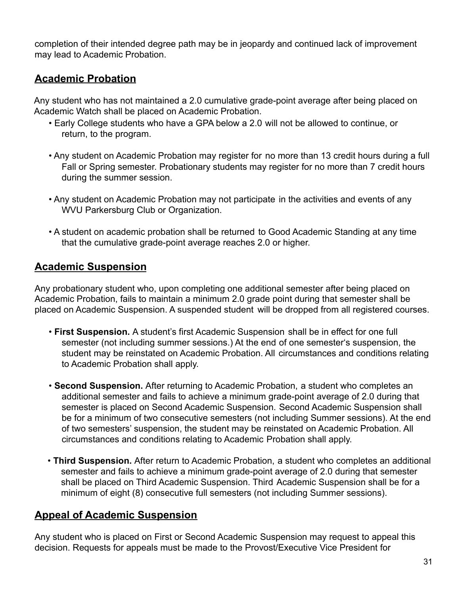completion of their intended degree path may be in jeopardy and continued lack of improvement may lead to Academic Probation.

## <span id="page-30-0"></span>**Academic Probation**

Any student who has not maintained a 2.0 cumulative grade-point average after being placed on Academic Watch shall be placed on Academic Probation.

- Early College students who have a GPA below a 2.0 will not be allowed to continue, or return, to the program.
- Any student on Academic Probation may register for no more than 13 credit hours during a full Fall or Spring semester. Probationary students may register for no more than 7 credit hours during the summer session.
- Any student on Academic Probation may not participate in the activities and events of any WVU Parkersburg Club or Organization.
- A student on academic probation shall be returned to Good Academic Standing at any time that the cumulative grade-point average reaches 2.0 or higher.

#### <span id="page-30-1"></span>**Academic Suspension**

Any probationary student who, upon completing one additional semester after being placed on Academic Probation, fails to maintain a minimum 2.0 grade point during that semester shall be placed on Academic Suspension. A suspended student will be dropped from all registered courses.

- **First Suspension.** A student's first Academic Suspension shall be in effect for one full semester (not including summer sessions.) At the end of one semester's suspension, the student may be reinstated on Academic Probation. All circumstances and conditions relating to Academic Probation shall apply.
- **Second Suspension.** After returning to Academic Probation, a student who completes an additional semester and fails to achieve a minimum grade-point average of 2.0 during that semester is placed on Second Academic Suspension. Second Academic Suspension shall be for a minimum of two consecutive semesters (not including Summer sessions). At the end of two semesters' suspension, the student may be reinstated on Academic Probation. All circumstances and conditions relating to Academic Probation shall apply.
- **Third Suspension.** After return to Academic Probation, a student who completes an additional semester and fails to achieve a minimum grade-point average of 2.0 during that semester shall be placed on Third Academic Suspension. Third Academic Suspension shall be for a minimum of eight (8) consecutive full semesters (not including Summer sessions).

#### <span id="page-30-2"></span>**Appeal of Academic Suspension**

Any student who is placed on First or Second Academic Suspension may request to appeal this decision. Requests for appeals must be made to the Provost/Executive Vice President for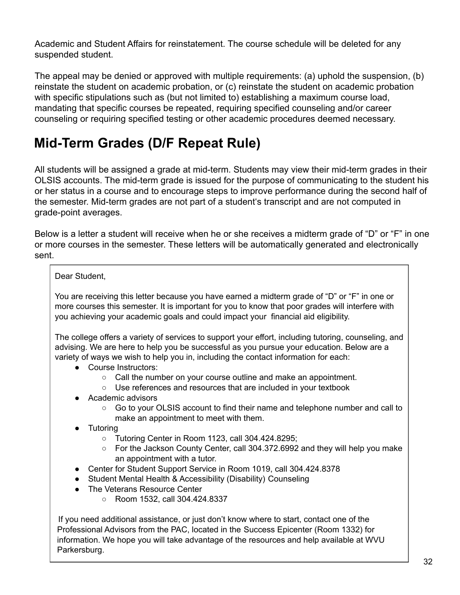Academic and Student Affairs for reinstatement. The course schedule will be deleted for any suspended student.

The appeal may be denied or approved with multiple requirements: (a) uphold the suspension, (b) reinstate the student on academic probation, or (c) reinstate the student on academic probation with specific stipulations such as (but not limited to) establishing a maximum course load, mandating that specific courses be repeated, requiring specified counseling and/or career counseling or requiring specified testing or other academic procedures deemed necessary.

# <span id="page-31-0"></span>**Mid-Term Grades (D/F Repeat Rule)**

All students will be assigned a grade at mid-term. Students may view their mid-term grades in their OLSIS accounts. The mid-term grade is issued for the purpose of communicating to the student his or her status in a course and to encourage steps to improve performance during the second half of the semester. Mid-term grades are not part of a student's transcript and are not computed in grade-point averages.

Below is a letter a student will receive when he or she receives a midterm grade of "D" or "F" in one or more courses in the semester. These letters will be automatically generated and electronically sent.

#### Dear Student,

You are receiving this letter because you have earned a midterm grade of "D" or "F" in one or more courses this semester. It is important for you to know that poor grades will interfere with you achieving your academic goals and could impact your financial aid eligibility.

The college offers a variety of services to support your effort, including tutoring, counseling, and advising. We are here to help you be successful as you pursue your education. Below are a variety of ways we wish to help you in, including the contact information for each:

- Course Instructors:
	- Call the number on your course outline and make an appointment.
	- Use references and resources that are included in your textbook
- Academic advisors
	- Go to your OLSIS account to find their name and telephone number and call to make an appointment to meet with them.
- **Tutoring** 
	- Tutoring Center in Room 1123, call 304.424.8295;
	- $\circ$  For the Jackson County Center, call 304.372.6992 and they will help you make an appointment with a tutor.
- Center for Student Support Service in Room 1019, call 304.424.8378
- Student Mental Health & Accessibility (Disability) Counseling
- The Veterans Resource Center
	- Room 1532, call 304.424.8337

If you need additional assistance, or just don't know where to start, contact one of the Professional Advisors from the PAC, located in the Success Epicenter (Room 1332) for information. We hope you will take advantage of the resources and help available at WVU Parkersburg.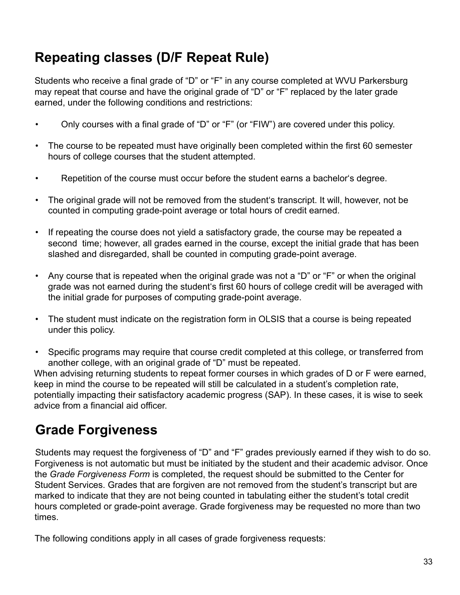# <span id="page-32-0"></span>**Repeating classes (D/F Repeat Rule)**

Students who receive a final grade of "D" or "F" in any course completed at WVU Parkersburg may repeat that course and have the original grade of "D" or "F" replaced by the later grade earned, under the following conditions and restrictions:

- Only courses with a final grade of "D" or "F" (or "FIW") are covered under this policy.
- The course to be repeated must have originally been completed within the first 60 semester hours of college courses that the student attempted.
- Repetition of the course must occur before the student earns a bachelor's degree.
- The original grade will not be removed from the student's transcript. It will, however, not be counted in computing grade-point average or total hours of credit earned.
- If repeating the course does not yield a satisfactory grade, the course may be repeated a second time; however, all grades earned in the course, except the initial grade that has been slashed and disregarded, shall be counted in computing grade-point average.
- Any course that is repeated when the original grade was not a "D" or "F" or when the original grade was not earned during the student's first 60 hours of college credit will be averaged with the initial grade for purposes of computing grade-point average.
- The student must indicate on the registration form in OLSIS that a course is being repeated under this policy.
- Specific programs may require that course credit completed at this college, or transferred from another college, with an original grade of "D" must be repeated.

When advising returning students to repeat former courses in which grades of D or F were earned, keep in mind the course to be repeated will still be calculated in a student's completion rate, potentially impacting their satisfactory academic progress (SAP). In these cases, it is wise to seek advice from a financial aid officer.

# <span id="page-32-1"></span>**Grade Forgiveness**

Students may request the forgiveness of "D" and "F" grades previously earned if they wish to do so. Forgiveness is not automatic but must be initiated by the student and their academic advisor. Once the *Grade Forgiveness Form* is completed, the request should be submitted to the Center for Student Services. Grades that are forgiven are not removed from the student's transcript but are marked to indicate that they are not being counted in tabulating either the student's total credit hours completed or grade-point average. Grade forgiveness may be requested no more than two times.

The following conditions apply in all cases of grade forgiveness requests: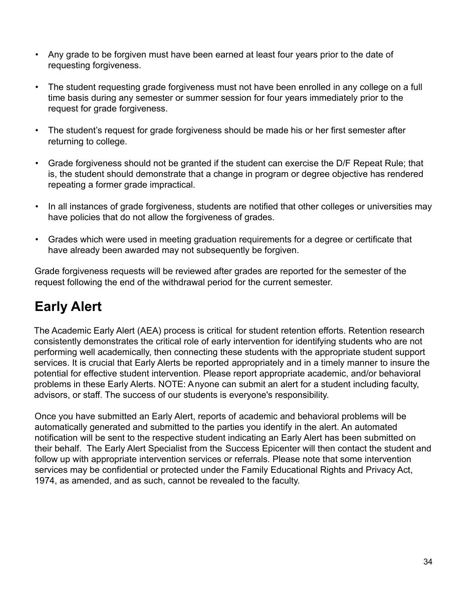- Any grade to be forgiven must have been earned at least four years prior to the date of requesting forgiveness.
- The student requesting grade forgiveness must not have been enrolled in any college on a full time basis during any semester or summer session for four years immediately prior to the request for grade forgiveness.
- The student's request for grade forgiveness should be made his or her first semester after returning to college.
- Grade forgiveness should not be granted if the student can exercise the D/F Repeat Rule; that is, the student should demonstrate that a change in program or degree objective has rendered repeating a former grade impractical.
- In all instances of grade forgiveness, students are notified that other colleges or universities may have policies that do not allow the forgiveness of grades.
- Grades which were used in meeting graduation requirements for a degree or certificate that have already been awarded may not subsequently be forgiven.

Grade forgiveness requests will be reviewed after grades are reported for the semester of the request following the end of the withdrawal period for the current semester.

# <span id="page-33-0"></span>**Early Alert**

The Academic Early Alert (AEA) process is critical for student retention efforts. Retention research consistently demonstrates the critical role of early intervention for identifying students who are not performing well academically, then connecting these students with the appropriate student support services. It is crucial that Early Alerts be reported appropriately and in a timely manner to insure the potential for effective student intervention. Please report appropriate academic, and/or behavioral problems in these Early Alerts. NOTE: Anyone can submit an alert for a student including faculty, advisors, or staff. The success of our students is everyone's responsibility.

Once you have submitted an Early Alert, reports of academic and behavioral problems will be automatically generated and submitted to the parties you identify in the alert. An automated notification will be sent to the respective student indicating an Early Alert has been submitted on their behalf. The Early Alert Specialist from the Success Epicenter will then contact the student and follow up with appropriate intervention services or referrals. Please note that some intervention services may be confidential or protected under the Family Educational Rights and Privacy Act, 1974, as amended, and as such, cannot be revealed to the faculty.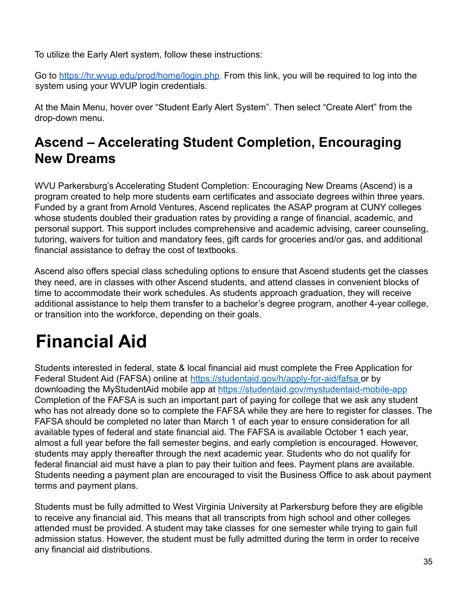To utilize the Early Alert system, follow these instructions:

Go to <https://hr.wvup.edu/prod/home/login.php>. From this link, you will be required to log into the system using your WVUP login credentials.

At the Main Menu, hover over "Student Early Alert System". Then select "Create Alert" from the drop-down menu.

# <span id="page-34-0"></span>**Ascend – Accelerating Student Completion, Encouraging New Dreams**

WVU Parkersburg's Accelerating Student Completion: Encouraging New Dreams (Ascend) is a program created to help more students earn certificates and associate degrees within three years. Funded by a grant from Arnold Ventures, Ascend replicates the ASAP program at CUNY colleges whose students doubled their graduation rates by providing a range of financial, academic, and personal support. This support includes comprehensive and academic advising, career counseling, tutoring, waivers for tuition and mandatory fees, gift cards for groceries and/or gas, and additional financial assistance to defray the cost of textbooks.

Ascend also offers special class scheduling options to ensure that Ascend students get the classes they need, are in classes with other Ascend students, and attend classes in convenient blocks of time to accommodate their work schedules. As students approach graduation, they will receive additional assistance to help them transfer to a bachelor's degree program, another 4-year college, or transition into the workforce, depending on their goals.

# <span id="page-34-1"></span>**Financial Aid**

Students interested in federal, state & local financial aid must complete the Free Application for Federal Student Aid (FAFSA) online at https://studentaid.gov/h/apply-for-aid/fafsa or by downloading the MyStudentAid mobile app at https://studentaid.gov/mystudentaid-mobile-app Completion of the FAFSA is such an important part of paying for college that we ask any student who has not already done so to complete the FAFSA while they are here to register for classes. The FAFSA should be completed no later than March 1 of each year to ensure consideration for all available types of federal and state financial aid. The FAFSA is available October 1 each year, almost a full year before the fall semester begins, and early completion is encouraged. However, students may apply thereafter through the next academic year. Students who do not qualify for federal financial aid must have a plan to pay their tuition and fees. Payment plans are available. Students needing a payment plan are encouraged to visit the Business Office to ask about payment terms and payment plans.

Students must be fully admitted to West Virginia University at Parkersburg before they are eligible to receive any financial aid. This means that all transcripts from high school and other colleges attended must be provided. A student may take classes for one semester while trying to gain full admission status. However, the student must be fully admitted during the term in order to receive any financial aid distributions.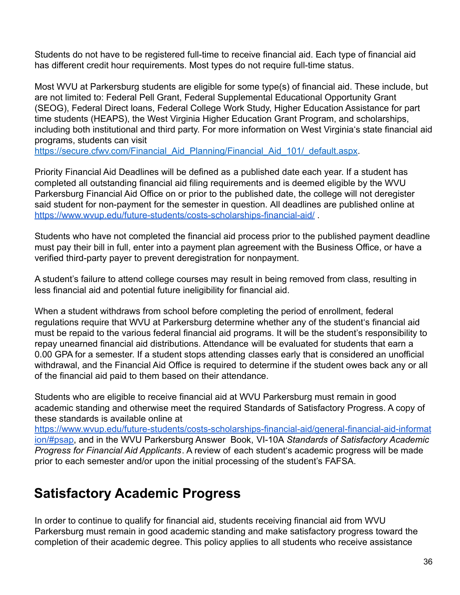Students do not have to be registered full-time to receive financial aid. Each type of financial aid has different credit hour requirements. Most types do not require full-time status.

Most WVU at Parkersburg students are eligible for some type(s) of financial aid. These include, but are not limited to: Federal Pell Grant, Federal Supplemental Educational Opportunity Grant (SEOG), Federal Direct loans, Federal College Work Study, Higher Education Assistance for part time students (HEAPS), the West Virginia Higher Education Grant Program, and scholarships, including both institutional and third party. For more information on West Virginia's state financial aid programs, students can visit

https://secure.cfwv.com/Financial Aid Planning/Financial Aid 101/ default.aspx.

Priority Financial Aid Deadlines will be defined as a published date each year. If a student has completed all outstanding financial aid filing requirements and is deemed eligible by the WVU Parkersburg Financial Aid Office on or prior to the published date, the college will not deregister said student for non-payment for the semester in question. All deadlines are published online at <https://www.wvup.edu/future-students/costs-scholarships-financial-aid/>

Students who have not completed the financial aid process prior to the published payment deadline must pay their bill in full, enter into a payment plan agreement with the Business Office, or have a verified third-party payer to prevent deregistration for nonpayment.

A student's failure to attend college courses may result in being removed from class, resulting in less financial aid and potential future ineligibility for financial aid.

When a student withdraws from school before completing the period of enrollment, federal regulations require that WVU at Parkersburg determine whether any of the student's financial aid must be repaid to the various federal financial aid programs. It will be the student's responsibility to repay unearned financial aid distributions. Attendance will be evaluated for students that earn a 0.00 GPA for a semester. If a student stops attending classes early that is considered an unofficial withdrawal, and the Financial Aid Office is required to determine if the student owes back any or all of the financial aid paid to them based on their attendance.

Students who are eligible to receive financial aid at WVU Parkersburg must remain in good academic standing and otherwise meet the required Standards of Satisfactory Progress. A copy of these standards is available online at

[https://www.wvup.edu/future-students/costs-scholarships-financial-aid/general-financial-aid-informat](https://www.wvup.edu/future-students/costs-scholarships-financial-aid/general-financial-aid-information/#psap) [ion/#psap](https://www.wvup.edu/future-students/costs-scholarships-financial-aid/general-financial-aid-information/#psap), and in the WVU Parkersburg Answer Book, VI-10A *Standards of Satisfactory Academic Progress for Financial Aid Applicants*. A review of each student's academic progress will be made prior to each semester and/or upon the initial processing of the student's FAFSA.

# <span id="page-35-0"></span>**Satisfactory Academic Progress**

In order to continue to qualify for financial aid, students receiving financial aid from WVU Parkersburg must remain in good academic standing and make satisfactory progress toward the completion of their academic degree. This policy applies to all students who receive assistance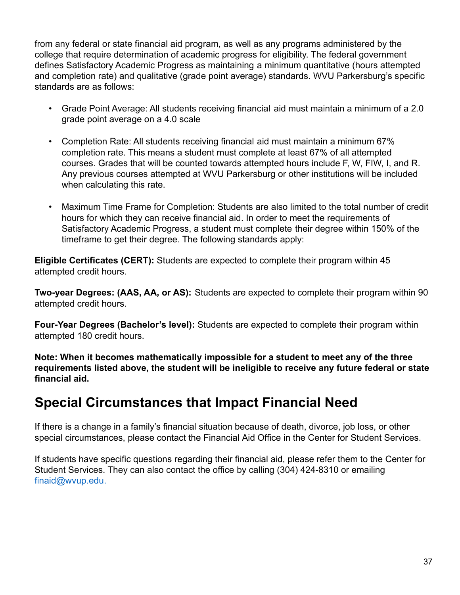from any federal or state financial aid program, as well as any programs administered by the college that require determination of academic progress for eligibility. The federal government defines Satisfactory Academic Progress as maintaining a minimum quantitative (hours attempted and completion rate) and qualitative (grade point average) standards. WVU Parkersburg's specific standards are as follows:

- Grade Point Average: All students receiving financial aid must maintain a minimum of a 2.0 grade point average on a 4.0 scale
- Completion Rate: All students receiving financial aid must maintain a minimum 67% completion rate. This means a student must complete at least 67% of all attempted courses. Grades that will be counted towards attempted hours include F, W, FIW, I, and R. Any previous courses attempted at WVU Parkersburg or other institutions will be included when calculating this rate.
- Maximum Time Frame for Completion: Students are also limited to the total number of credit hours for which they can receive financial aid. In order to meet the requirements of Satisfactory Academic Progress, a student must complete their degree within 150% of the timeframe to get their degree. The following standards apply:

**Eligible Certificates (CERT):** Students are expected to complete their program within 45 attempted credit hours.

**Two-year Degrees: (AAS, AA, or AS):** Students are expected to complete their program within 90 attempted credit hours.

**Four-Year Degrees (Bachelor's level):** Students are expected to complete their program within attempted 180 credit hours.

**Note: When it becomes mathematically impossible for a student to meet any of the three requirements listed above, the student will be ineligible to receive any future federal or state financial aid.**

# <span id="page-36-0"></span>**Special Circumstances that Impact Financial Need**

If there is a change in a family's financial situation because of death, divorce, job loss, or other special circumstances, please contact the Financial Aid Office in the Center for Student Services.

If students have specific questions regarding their financial aid, please refer them to the Center for Student Services. They can also contact the office by calling (304) 424-8310 or emailing finaid@wvup.edu.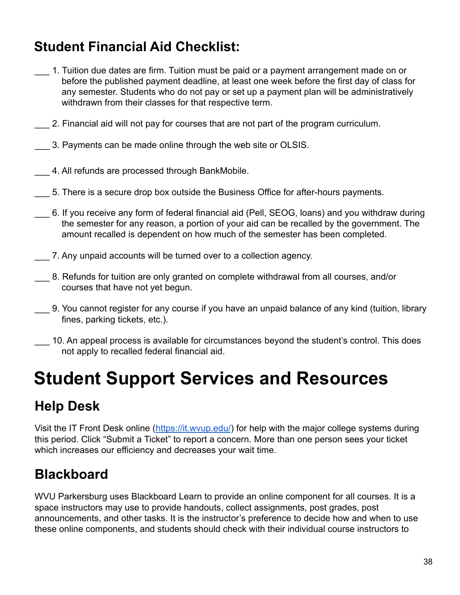# <span id="page-37-0"></span>**Student Financial Aid Checklist:**

- \_\_\_ 1. Tuition due dates are firm. Tuition must be paid or a payment arrangement made on or before the published payment deadline, at least one week before the first day of class for any semester. Students who do not pay or set up a payment plan will be administratively withdrawn from their classes for that respective term.
- 2. Financial aid will not pay for courses that are not part of the program curriculum.
- \_\_\_ 3. Payments can be made online through the web site or OLSIS.
- 4. All refunds are processed through BankMobile.
- \_\_\_ 5. There is a secure drop box outside the Business Office for after-hours payments.
- \_\_\_ 6. If you receive any form of federal financial aid (Pell, SEOG, loans) and you withdraw during the semester for any reason, a portion of your aid can be recalled by the government. The amount recalled is dependent on how much of the semester has been completed.
- \_\_\_ 7. Any unpaid accounts will be turned over to a collection agency.
- \_\_\_ 8. Refunds for tuition are only granted on complete withdrawal from all courses, and/or courses that have not yet begun.
- \_\_\_ 9. You cannot register for any course if you have an unpaid balance of any kind (tuition, library fines, parking tickets, etc.).
- 10. An appeal process is available for circumstances beyond the student's control. This does not apply to recalled federal financial aid.

# <span id="page-37-1"></span>**Student Support Services and Resources**

# <span id="page-37-2"></span>**Help Desk**

Visit the IT Front Desk online (<https://it.wvup.edu/>) for help with the major college systems during this period. Click "Submit a Ticket" to report a concern. More than one person sees your ticket which increases our efficiency and decreases your wait time.

# <span id="page-37-3"></span>**Blackboard**

WVU Parkersburg uses Blackboard Learn to provide an online component for all courses. It is a space instructors may use to provide handouts, collect assignments, post grades, post announcements, and other tasks. It is the instructor's preference to decide how and when to use these online components, and students should check with their individual course instructors to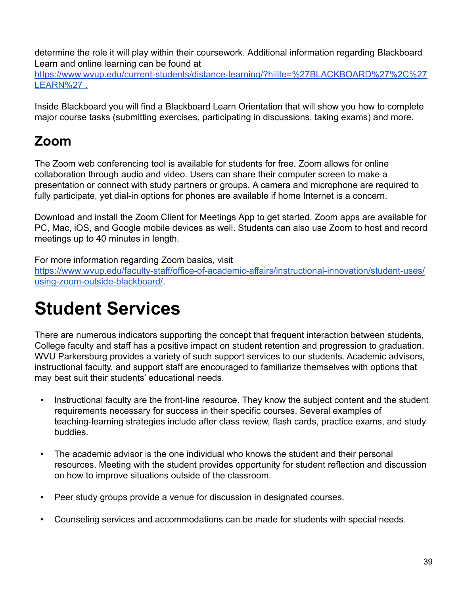determine the role it will play within their coursework. Additional information regarding Blackboard Learn and online learning can be found at

[https://www.wvup.edu/current-students/distance-learning/?hilite=%27BLACKBOARD%27%2C%27](https://www.wvup.edu/current-students/distance-learning/?hilite=%27BLACKBOARD%27%2C%27LEARN%27) [LEARN%27](https://www.wvup.edu/current-students/distance-learning/?hilite=%27BLACKBOARD%27%2C%27LEARN%27).

Inside Blackboard you will find a Blackboard Learn Orientation that will show you how to complete major course tasks (submitting exercises, participating in discussions, taking exams) and more.

# <span id="page-38-0"></span>**Zoom**

The Zoom web conferencing tool is available for students for free. Zoom allows for online collaboration through audio and video. Users can share their computer screen to make a presentation or connect with study partners or groups. A camera and microphone are required to fully participate, yet dial-in options for phones are available if home Internet is a concern.

Download and install the Zoom Client for Meetings App to get started. Zoom apps are available for PC, Mac, iOS, and Google mobile devices as well. Students can also use Zoom to host and record meetings up to 40 minutes in length.

For more information regarding Zoom basics, visit

[https://www.wvup.edu/faculty-staff/office-of-academic-affairs/instructional-innovation/student-uses/](https://www.wvup.edu/faculty-staff/office-of-academic-affairs/instructional-innovation/student-uses/using-zoom-outside-blackboard/) [using-zoom-outside-blackboard/.](https://www.wvup.edu/faculty-staff/office-of-academic-affairs/instructional-innovation/student-uses/using-zoom-outside-blackboard/)

# <span id="page-38-1"></span>**Student Services**

There are numerous indicators supporting the concept that frequent interaction between students, College faculty and staff has a positive impact on student retention and progression to graduation. WVU Parkersburg provides a variety of such support services to our students. Academic advisors, instructional faculty, and support staff are encouraged to familiarize themselves with options that may best suit their students' educational needs.

- Instructional faculty are the front-line resource. They know the subject content and the student requirements necessary for success in their specific courses. Several examples of teaching-learning strategies include after class review, flash cards, practice exams, and study buddies.
- The academic advisor is the one individual who knows the student and their personal resources. Meeting with the student provides opportunity for student reflection and discussion on how to improve situations outside of the classroom.
- Peer study groups provide a venue for discussion in designated courses.
- Counseling services and accommodations can be made for students with special needs.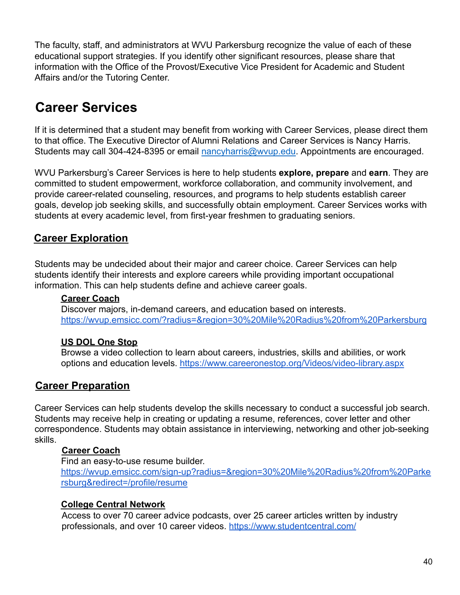The faculty, staff, and administrators at WVU Parkersburg recognize the value of each of these educational support strategies. If you identify other significant resources, please share that information with the Office of the Provost/Executive Vice President for Academic and Student Affairs and/or the Tutoring Center.

# <span id="page-39-0"></span>**Career Services**

If it is determined that a student may benefit from working with Career Services, please direct them to that office. The Executive Director of Alumni Relations and Career Services is Nancy Harris. Students may call 304-424-8395 or email nancyharris@wvup.edu. Appointments are encouraged.

WVU Parkersburg's Career Services is here to help students **explore, prepare** and **earn**. They are committed to student empowerment, workforce collaboration, and community involvement, and provide career-related counseling, resources, and programs to help students establish career goals, develop job seeking skills, and successfully obtain employment. Career Services works with students at every academic level, from first-year freshmen to graduating seniors.

## <span id="page-39-1"></span>**Career Exploration**

Students may be undecided about their major and career choice. Career Services can help students identify their interests and explore careers while providing important occupational information. This can help students define and achieve career goals.

#### **Career Coach**

Discover majors, in-demand careers, and education based on interests. [https://wvup.emsicc.com/?radius=&region=30%20Mile%20Radius%20from%20Parkersburg](https://wvup.emsicc.com/?radius=®ion=30%20Mile%20Radius%20from%20Parkersburg)

#### **US DOL One Stop**

Browse a video collection to learn about careers, industries, skills and abilities, or work options and education levels. <https://www.careeronestop.org/Videos/video-library.aspx>

#### <span id="page-39-2"></span>**Career Preparation**

Career Services can help students develop the skills necessary to conduct a successful job search. Students may receive help in creating or updating a resume, references, cover letter and other correspondence. Students may obtain assistance in interviewing, networking and other job-seeking skills.

#### **Career Coach**

Find an easy-to-use resume builder. [https://wvup.emsicc.com/sign-up?radius=&region=30%20Mile%20Radius%20from%20Parke](https://wvup.emsicc.com/sign-up?radius=®ion=30%20Mile%20Radius%20from%20Parkersburg&redirect=/profile/resume) [rsburg&redirect=/profile/resume](https://wvup.emsicc.com/sign-up?radius=®ion=30%20Mile%20Radius%20from%20Parkersburg&redirect=/profile/resume)

#### **College Central Network**

Access to over 70 career advice podcasts, over 25 career articles written by industry professionals, and over 10 career videos. <https://www.studentcentral.com/>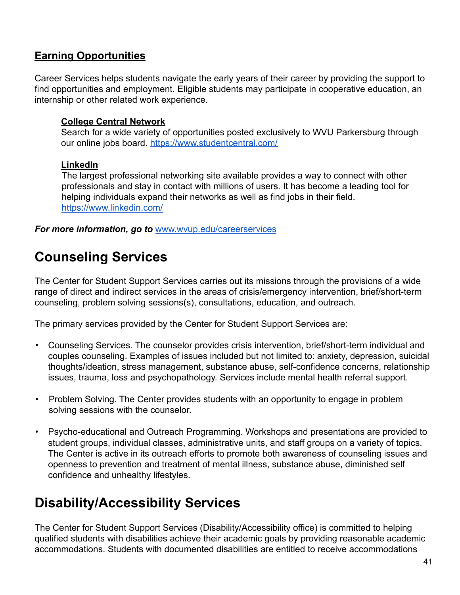#### <span id="page-40-0"></span>**Earning Opportunities**

Career Services helps students navigate the early years of their career by providing the support to find opportunities and employment. Eligible students may participate in cooperative education, an internship or other related work experience.

#### **College Central Network**

Search for a wide variety of opportunities posted exclusively to WVU Parkersburg through our online jobs board. <https://www.studentcentral.com/>

#### **LinkedIn**

The largest professional networking site available provides a way to connect with other professionals and stay in contact with millions of users. It has become a leading tool for helping individuals expand their networks as well as find jobs in their field. <https://www.linkedin.com/>

*For more information, go to* [www.wvup.edu/careerservices](http://www.wvup.edu/careerservices)

# <span id="page-40-1"></span>**Counseling Services**

The Center for Student Support Services carries out its missions through the provisions of a wide range of direct and indirect services in the areas of crisis/emergency intervention, brief/short-term counseling, problem solving sessions(s), consultations, education, and outreach.

The primary services provided by the Center for Student Support Services are:

- Counseling Services. The counselor provides crisis intervention, brief/short-term individual and couples counseling. Examples of issues included but not limited to: anxiety, depression, suicidal thoughts/ideation, stress management, substance abuse, self-confidence concerns, relationship issues, trauma, loss and psychopathology. Services include mental health referral support.
- Problem Solving. The Center provides students with an opportunity to engage in problem solving sessions with the counselor.
- Psycho-educational and Outreach Programming. Workshops and presentations are provided to student groups, individual classes, administrative units, and staff groups on a variety of topics. The Center is active in its outreach efforts to promote both awareness of counseling issues and openness to prevention and treatment of mental illness, substance abuse, diminished self confidence and unhealthy lifestyles.

# <span id="page-40-2"></span>**Disability/Accessibility Services**

The Center for Student Support Services (Disability/Accessibility office) is committed to helping qualified students with disabilities achieve their academic goals by providing reasonable academic accommodations. Students with documented disabilities are entitled to receive accommodations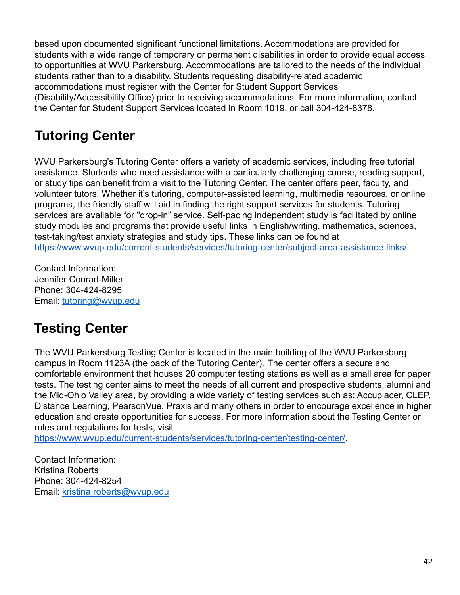based upon documented significant functional limitations. Accommodations are provided for students with a wide range of temporary or permanent disabilities in order to provide equal access to opportunities at WVU Parkersburg. Accommodations are tailored to the needs of the individual students rather than to a disability. Students requesting disability-related academic accommodations must register with the Center for Student Support Services (Disability/Accessibility Office) prior to receiving accommodations. For more information, contact the Center for Student Support Services located in Room 1019, or call 304-424-8378.

# <span id="page-41-0"></span>**Tutoring Center**

WVU Parkersburg's Tutoring Center offers a variety of academic services, including free tutorial assistance. Students who need assistance with a particularly challenging course, reading support, or study tips can benefit from a visit to the Tutoring Center. The center offers peer, faculty, and volunteer tutors. Whether it's tutoring, computer-assisted learning, multimedia resources, or online programs, the friendly staff will aid in finding the right support services for students. Tutoring services are available for "drop-in" service. Self-pacing independent study is facilitated by online study modules and programs that provide useful links in English/writing, mathematics, sciences, test-taking/test anxiety strategies and study tips. These links can be found at <https://www.wvup.edu/current-students/services/tutoring-center/subject-area-assistance-links/>

Contact Information: Jennifer Conrad-Miller Phone: 304-424-8295 Email: tutoring@wvup.edu

# <span id="page-41-1"></span>**Testing Center**

The WVU Parkersburg Testing Center is located in the main building of the WVU Parkersburg campus in Room 1123A (the back of the Tutoring Center). The center offers a secure and comfortable environment that houses 20 computer testing stations as well as a small area for paper tests. The testing center aims to meet the needs of all current and prospective students, alumni and the Mid-Ohio Valley area, by providing a wide variety of testing services such as: Accuplacer, CLEP, Distance Learning, PearsonVue, Praxis and many others in order to encourage excellence in higher education and create opportunities for success. For more information about the Testing Center or rules and regulations for tests, visit

[https://www.wvup.edu/current-students/services/tutoring-center/testing-center/.](https://www.wvup.edu/current-students/services/tutoring-center/testing-center/)

Contact Information: Kristina Roberts Phone: 304-424-8254 Email: kristina.roberts@wvup.edu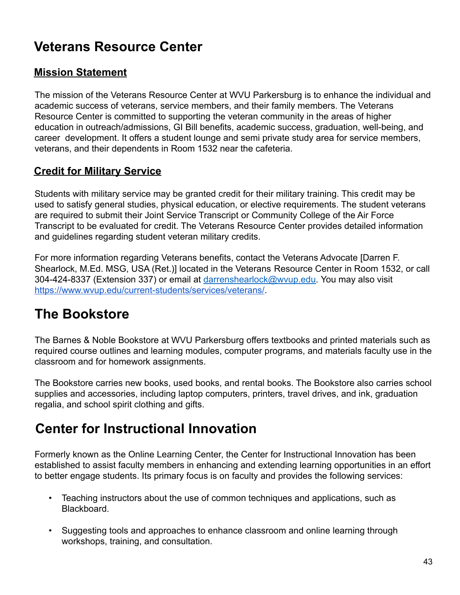# <span id="page-42-0"></span>**Veterans Resource Center**

#### <span id="page-42-1"></span>**Mission Statement**

The mission of the Veterans Resource Center at WVU Parkersburg is to enhance the individual and academic success of veterans, service members, and their family members. The Veterans Resource Center is committed to supporting the veteran community in the areas of higher education in outreach/admissions, GI Bill benefits, academic success, graduation, well-being, and career development. It offers a student lounge and semi private study area for service members, veterans, and their dependents in Room 1532 near the cafeteria.

## <span id="page-42-2"></span>**Credit for Military Service**

Students with military service may be granted credit for their military training. This credit may be used to satisfy general studies, physical education, or elective requirements. The student veterans are required to submit their Joint Service Transcript or Community College of the Air Force Transcript to be evaluated for credit. The Veterans Resource Center provides detailed information and guidelines regarding student veteran military credits.

For more information regarding Veterans benefits, contact the Veterans Advocate [Darren F. Shearlock, M.Ed. MSG, USA (Ret.)] located in the Veterans Resource Center in Room 1532, or call 304-424-8337 (Extension 337) or email at darrenshearlock@wvup.edu. You may also visit <https://www.wvup.edu/current-students/services/veterans/>.

# <span id="page-42-3"></span>**The Bookstore**

The Barnes & Noble Bookstore at WVU Parkersburg offers textbooks and printed materials such as required course outlines and learning modules, computer programs, and materials faculty use in the classroom and for homework assignments.

The Bookstore carries new books, used books, and rental books. The Bookstore also carries school supplies and accessories, including laptop computers, printers, travel drives, and ink, graduation regalia, and school spirit clothing and gifts.

# <span id="page-42-4"></span>**Center for Instructional Innovation**

Formerly known as the Online Learning Center, the Center for Instructional Innovation has been established to assist faculty members in enhancing and extending learning opportunities in an effort to better engage students. Its primary focus is on faculty and provides the following services:

- Teaching instructors about the use of common techniques and applications, such as Blackboard.
- Suggesting tools and approaches to enhance classroom and online learning through workshops, training, and consultation.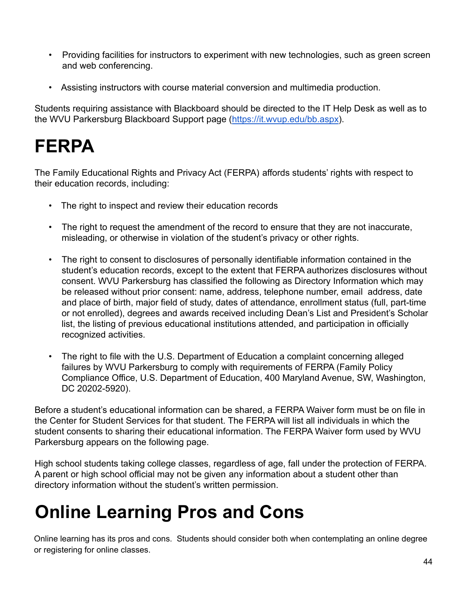- Providing facilities for instructors to experiment with new technologies, such as green screen and web conferencing.
- Assisting instructors with course material conversion and multimedia production.

Students requiring assistance with Blackboard should be directed to the IT Help Desk as well as to the WVU Parkersburg Blackboard Support page ([https://it.wvup.edu/bb.aspx\)](https://it.wvup.edu/bb.aspx).

# <span id="page-43-0"></span>**FERPA**

The Family Educational Rights and Privacy Act (FERPA) affords students' rights with respect to their education records, including:

- The right to inspect and review their education records
- The right to request the amendment of the record to ensure that they are not inaccurate, misleading, or otherwise in violation of the student's privacy or other rights.
- The right to consent to disclosures of personally identifiable information contained in the student's education records, except to the extent that FERPA authorizes disclosures without consent. WVU Parkersburg has classified the following as Directory Information which may be released without prior consent: name, address, telephone number, email address, date and place of birth, major field of study, dates of attendance, enrollment status (full, part-time or not enrolled), degrees and awards received including Dean's List and President's Scholar list, the listing of previous educational institutions attended, and participation in officially recognized activities.
- The right to file with the U.S. Department of Education a complaint concerning alleged failures by WVU Parkersburg to comply with requirements of FERPA (Family Policy Compliance Office, U.S. Department of Education, 400 Maryland Avenue, SW, Washington, DC 20202-5920).

Before a student's educational information can be shared, a FERPA Waiver form must be on file in the Center for Student Services for that student. The FERPA will list all individuals in which the student consents to sharing their educational information. The FERPA Waiver form used by WVU Parkersburg appears on the following page.

High school students taking college classes, regardless of age, fall under the protection of FERPA. A parent or high school official may not be given any information about a student other than directory information without the student's written permission.

# <span id="page-43-1"></span>**Online Learning Pros and Cons**

Online learning has its pros and cons. Students should consider both when contemplating an online degree or registering for online classes.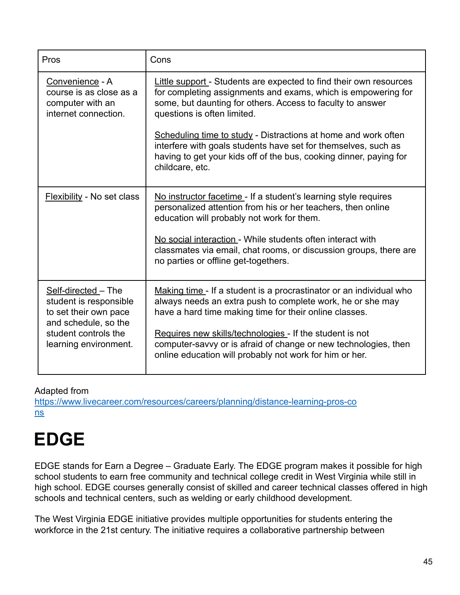| Pros                                                                                           | Cons                                                                                                                                                                                                                             |
|------------------------------------------------------------------------------------------------|----------------------------------------------------------------------------------------------------------------------------------------------------------------------------------------------------------------------------------|
| Convenience - A<br>course is as close as a<br>computer with an<br>internet connection.         | Little support - Students are expected to find their own resources<br>for completing assignments and exams, which is empowering for<br>some, but daunting for others. Access to faculty to answer<br>questions is often limited. |
|                                                                                                | Scheduling time to study - Distractions at home and work often<br>interfere with goals students have set for themselves, such as<br>having to get your kids off of the bus, cooking dinner, paying for<br>childcare, etc.        |
| Flexibility - No set class                                                                     | No instructor facetime - If a student's learning style requires<br>personalized attention from his or her teachers, then online<br>education will probably not work for them.                                                    |
|                                                                                                | No social interaction - While students often interact with<br>classmates via email, chat rooms, or discussion groups, there are<br>no parties or offline get-togethers.                                                          |
| Self-directed - The<br>student is responsible<br>to set their own pace<br>and schedule, so the | Making time - If a student is a procrastinator or an individual who<br>always needs an extra push to complete work, he or she may<br>have a hard time making time for their online classes.                                      |
| student controls the<br>learning environment.                                                  | Requires new skills/technologies - If the student is not<br>computer-savvy or is afraid of change or new technologies, then<br>online education will probably not work for him or her.                                           |

Adapted from

https://www.livecareer.com/resources/careers/planning/distance-learning-pros-co ns

# <span id="page-44-0"></span>**EDGE**

EDGE stands for Earn a Degree – Graduate Early. The EDGE program makes it possible for high school students to earn free community and technical college credit in West Virginia while still in high school. EDGE courses generally consist of skilled and career technical classes offered in high schools and technical centers, such as welding or early childhood development.

The West Virginia EDGE initiative provides multiple opportunities for students entering the workforce in the 21st century. The initiative requires a collaborative partnership between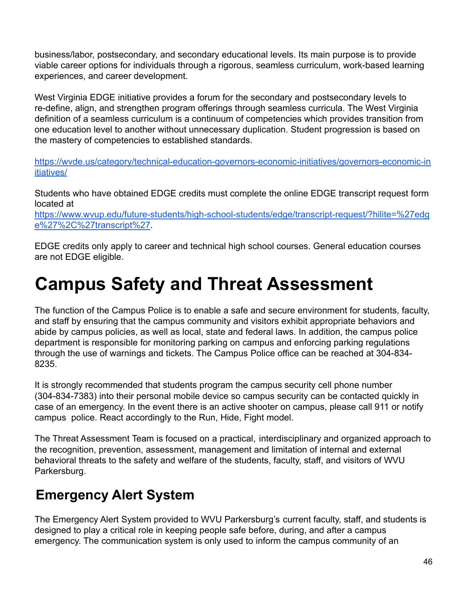business/labor, postsecondary, and secondary educational levels. Its main purpose is to provide viable career options for individuals through a rigorous, seamless curriculum, work-based learning experiences, and career development.

West Virginia EDGE initiative provides a forum for the secondary and postsecondary levels to re-define, align, and strengthen program offerings through seamless curricula. The West Virginia definition of a seamless curriculum is a continuum of competencies which provides transition from one education level to another without unnecessary duplication. Student progression is based on the mastery of competencies to established standards.

[https://wvde.us/category/technical-education-governors-economic-initiatives/governors-economic-in](https://wvde.us/category/technical-education-governors-economic-initiatives/governors-economic-initiatives/) [itiatives/](https://wvde.us/category/technical-education-governors-economic-initiatives/governors-economic-initiatives/)

Students who have obtained EDGE credits must complete the online EDGE transcript request form located at

[https://www.wvup.edu/future-students/high-school-students/edge/transcript-request/?hilite=%27edg](https://www.wvup.edu/future-students/high-school-students/edge/transcript-request/?hilite=%27edge%27%2C%27transcript%27) [e%27%2C%27transcript%27](https://www.wvup.edu/future-students/high-school-students/edge/transcript-request/?hilite=%27edge%27%2C%27transcript%27).

EDGE credits only apply to career and technical high school courses. General education courses are not EDGE eligible.

# <span id="page-45-0"></span>**Campus Safety and Threat Assessment**

The function of the Campus Police is to enable a safe and secure environment for students, faculty, and staff by ensuring that the campus community and visitors exhibit appropriate behaviors and abide by campus policies, as well as local, state and federal laws. In addition, the campus police department is responsible for monitoring parking on campus and enforcing parking regulations through the use of warnings and tickets. The Campus Police office can be reached at 304-834- 8235.

It is strongly recommended that students program the campus security cell phone number (304-834-7383) into their personal mobile device so campus security can be contacted quickly in case of an emergency. In the event there is an active shooter on campus, please call 911 or notify campus police. React accordingly to the Run, Hide, Fight model.

The Threat Assessment Team is focused on a practical, interdisciplinary and organized approach to the recognition, prevention, assessment, management and limitation of internal and external behavioral threats to the safety and welfare of the students, faculty, staff, and visitors of WVU Parkersburg.

# <span id="page-45-1"></span>**Emergency Alert System**

The Emergency Alert System provided to WVU Parkersburg's current faculty, staff, and students is designed to play a critical role in keeping people safe before, during, and after a campus emergency. The communication system is only used to inform the campus community of an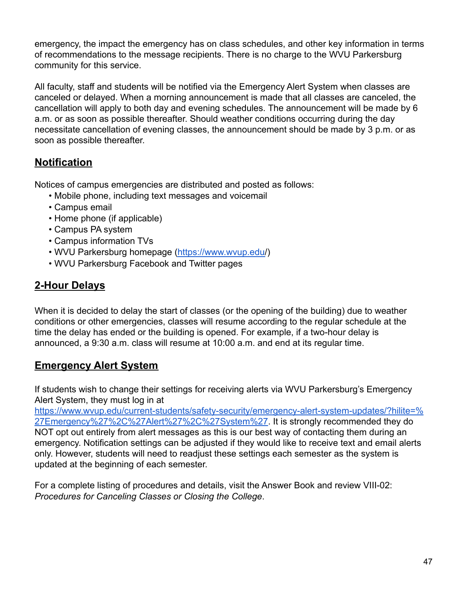emergency, the impact the emergency has on class schedules, and other key information in terms of recommendations to the message recipients. There is no charge to the WVU Parkersburg community for this service.

All faculty, staff and students will be notified via the Emergency Alert System when classes are canceled or delayed. When a morning announcement is made that all classes are canceled, the cancellation will apply to both day and evening schedules. The announcement will be made by 6 a.m. or as soon as possible thereafter. Should weather conditions occurring during the day necessitate cancellation of evening classes, the announcement should be made by 3 p.m. or as soon as possible thereafter.

## <span id="page-46-0"></span>**Notification**

Notices of campus emergencies are distributed and posted as follows:

- Mobile phone, including text messages and voicemail
- Campus email
- Home phone (if applicable)
- Campus PA system
- Campus information TVs
- WVU Parkersburg homepage [\(https://www.wvup.edu/](https://www.wvup.edu))
- WVU Parkersburg Facebook and Twitter pages

## <span id="page-46-1"></span>**2-Hour Delays**

When it is decided to delay the start of classes (or the opening of the building) due to weather conditions or other emergencies, classes will resume according to the regular schedule at the time the delay has ended or the building is opened. For example, if a two-hour delay is announced, a 9:30 a.m. class will resume at 10:00 a.m. and end at its regular time.

#### <span id="page-46-2"></span>**Emergency Alert System**

If students wish to change their settings for receiving alerts via WVU Parkersburg's Emergency Alert System, they must log in at

[https://www.wvup.edu/current-students/safety-security/emergency-alert-system-updates/?hilite=%](https://www.wvup.edu/current-students/safety-security/emergency-alert-system-updates/?hilite=%27Emergency%27%2C%27Alert%27%2C%27System%27) [27Emergency%27%2C%27Alert%27%2C%27System%27.](https://www.wvup.edu/current-students/safety-security/emergency-alert-system-updates/?hilite=%27Emergency%27%2C%27Alert%27%2C%27System%27) It is strongly recommended they do NOT opt out entirely from alert messages as this is our best way of contacting them during an emergency. Notification settings can be adjusted if they would like to receive text and email alerts only. However, students will need to readjust these settings each semester as the system is updated at the beginning of each semester.

For a complete listing of procedures and details, visit the Answer Book and review VIII-02: *Procedures for Canceling Classes or Closing the College*.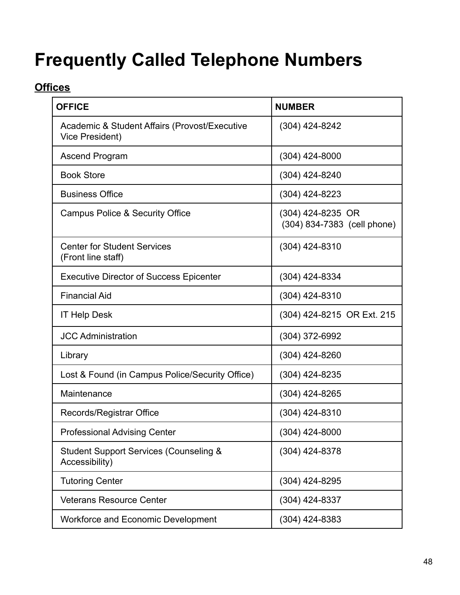# <span id="page-47-0"></span>**Frequently Called Telephone Numbers**

# <span id="page-47-1"></span>**Offices**

| <b>OFFICE</b>                                                       | <b>NUMBER</b>                                    |
|---------------------------------------------------------------------|--------------------------------------------------|
| Academic & Student Affairs (Provost/Executive<br>Vice President)    | $(304)$ 424-8242                                 |
| <b>Ascend Program</b>                                               | $(304)$ 424-8000                                 |
| <b>Book Store</b>                                                   | (304) 424-8240                                   |
| <b>Business Office</b>                                              | $(304)$ 424-8223                                 |
| Campus Police & Security Office                                     | (304) 424-8235 OR<br>(304) 834-7383 (cell phone) |
| <b>Center for Student Services</b><br>(Front line staff)            | $(304)$ 424-8310                                 |
| <b>Executive Director of Success Epicenter</b>                      | (304) 424-8334                                   |
| <b>Financial Aid</b>                                                | $(304)$ 424-8310                                 |
| <b>IT Help Desk</b>                                                 | (304) 424-8215 OR Ext. 215                       |
| <b>JCC Administration</b>                                           | (304) 372-6992                                   |
| Library                                                             | $(304)$ 424-8260                                 |
| Lost & Found (in Campus Police/Security Office)                     | $(304)$ 424-8235                                 |
| Maintenance                                                         | $(304)$ 424-8265                                 |
| Records/Registrar Office                                            | (304) 424-8310                                   |
| <b>Professional Advising Center</b>                                 | $(304)$ 424-8000                                 |
| <b>Student Support Services (Counseling &amp;</b><br>Accessibility) | (304) 424-8378                                   |
| <b>Tutoring Center</b>                                              | $(304)$ 424-8295                                 |
| <b>Veterans Resource Center</b>                                     | $(304)$ 424-8337                                 |
| <b>Workforce and Economic Development</b>                           | $(304)$ 424-8383                                 |